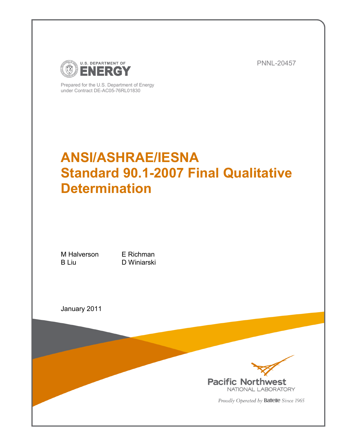

Prepared for the U.S. Department of Energy under Contract DE-AC05-76RL01830

PNNL-20457

# **ANSI/ASHRAE/IESNA Standard 90.1-2007 Final Qualitative Determination**

M Halverson E Richman B Liu D Winiarski

January 2011



Proudly Operated by **Battelle** Since 1965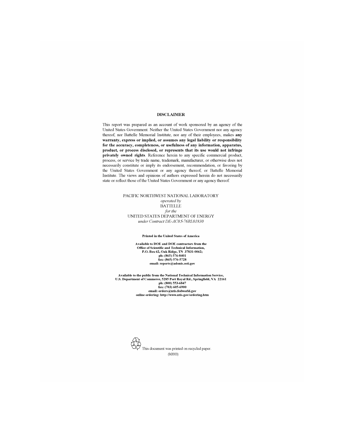#### **DISCLAIMER**

This report was prepared as an account of work sponsored by an agency of the United States Government. Neither the United States Government nor any agency thereof, nor Battelle Memorial Institute, nor any of their employees, makes any warranty, express or implied, or assumes any legal liability or responsibility for the accuracy, completeness, or usefulness of any information, apparatus, product, or process disclosed, or represents that its use would not infringe privately owned rights. Reference herein to any specific commercial product, process, or service by trade name, trademark, manufacturer, or otherwise does not necessarily constitute or imply its endorsement, recommendation, or favoring by the United States Government or any agency thereof, or Battelle Memorial Institute. The views and opinions of authors expressed herein do not necessarily state or reflect those of the United States Government or any agency thereof.

#### PACIFIC NORTHWEST NATIONAL LABORATORY operated by **BATTELLE** for the UNITED STATES DEPARTMENT OF ENERGY under Contract DE-AC05-76RL01830

#### **Printed in the United States of America**

Available to DOE and DOE contractors from the Office of Scientific and Technical Information,<br>P.O. Box 62, Oak Ridge, TN 37831-0062; ph: (865) 576-8401<br>fax: (865) 576-5728 email: reports@adonis.osti.gov

Available to the public from the National Technical Information Service, U.S. Department of Commerce, 5285 Port Royal Rd., Springfield, VA 22161<br>ph: (800) 553-6847<br>fax: (703) 605-6900 email: orders@ntis.fedworld.gov online ordering: http://www.ntis.gov/ordering.htm

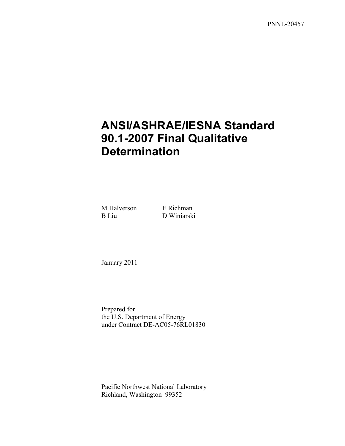PNNL-20457

# **ANSI/ASHRAE/IESNA Standard 90.1-2007 Final Qualitative Determination**

M Halverson E Richman B Liu D Winiarski

January 2011

Prepared for the U.S. Department of Energy under Contract DE-AC05-76RL01830

Pacific Northwest National Laboratory Richland, Washington 99352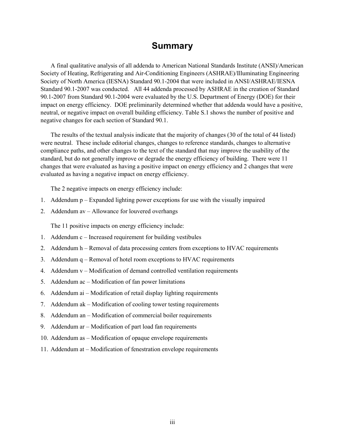# **Summary**

<span id="page-4-0"></span>A final qualitative analysis of all addenda to American National Standards Institute (ANSI)/American Society of Heating, Refrigerating and Air-Conditioning Engineers (ASHRAE)/Illuminating Engineering Society of North America (IESNA) Standard 90.1-2004 that were included in ANSI/ASHRAE/IESNA Standard 90.1-2007 was conducted. All 44 addenda processed by ASHRAE in the creation of Standard 90.1-2007 from Standard 90.1-2004 were evaluated by the U.S. Department of Energy (DOE) for their impact on energy efficiency. DOE preliminarily determined whether that addenda would have a positive, neutral, or negative impact on overall building efficiency. Table S.1 shows the number of positive and negative changes for each section of Standard 90.1.

The results of the textual analysis indicate that the majority of changes (30 of the total of 44 listed) were neutral. These include editorial changes, changes to reference standards, changes to alternative compliance paths, and other changes to the text of the standard that may improve the usability of the standard, but do not generally improve or degrade the energy efficiency of building. There were 11 changes that were evaluated as having a positive impact on energy efficiency and 2 changes that were evaluated as having a negative impact on energy efficiency.

The 2 negative impacts on energy efficiency include:

- 1. Addendum p Expanded lighting power exceptions for use with the visually impaired
- 2. Addendum av Allowance for louvered overhangs

The 11 positive impacts on energy efficiency include:

- 1. Addendum c Increased requirement for building vestibules
- 2. Addendum h Removal of data processing centers from exceptions to HVAC requirements
- 3. Addendum q Removal of hotel room exceptions to HVAC requirements
- 4. Addendum v Modification of demand controlled ventilation requirements
- 5. Addendum ac Modification of fan power limitations
- 6. Addendum ai Modification of retail display lighting requirements
- 7. Addendum ak Modification of cooling tower testing requirements
- 8. Addendum an Modification of commercial boiler requirements
- 9. Addendum ar Modification of part load fan requirements
- 10. Addendum as Modification of opaque envelope requirements
- 11. Addendum at Modification of fenestration envelope requirements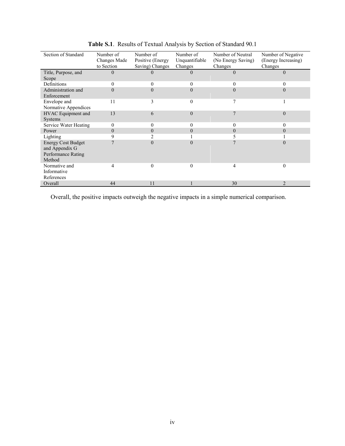| Section of Standard                                                         | Number of    | Number of         | Number of      | Number of Neutral  | Number of Negative  |
|-----------------------------------------------------------------------------|--------------|-------------------|----------------|--------------------|---------------------|
|                                                                             | Changes Made | Positive (Energy) | Unquantifiable | (No Energy Saving) | (Energy Increasing) |
|                                                                             | to Section   | Saving) Changes   | Changes        | Changes            | Changes             |
| Title, Purpose, and<br>Scope                                                | 0            |                   | $\theta$       | $\theta$           | $\theta$            |
| Definitions                                                                 | 0            | 0                 | 0              | 0                  |                     |
| Administration and<br>Enforcement                                           | $\Omega$     | 0                 |                | $\Omega$           | 0                   |
| Envelope and<br>Normative Appendices                                        | 11           | 3                 | $\Omega$       | 7                  |                     |
| HVAC Equipment and<br><b>Systems</b>                                        | 13           | 6                 | $\Omega$       | 7                  | $\Omega$            |
| Service Water Heating                                                       | 0            | 0                 |                | 0                  |                     |
| Power                                                                       | $\theta$     | $\theta$          |                | $\Omega$           | 0                   |
| Lighting                                                                    | 9            |                   |                |                    |                     |
| <b>Energy Cost Budget</b><br>and Appendix G<br>Performance Rating<br>Method |              | 0                 |                |                    | $\Omega$            |
| Normative and<br>Informative<br>References                                  | 4            | $\theta$          | $\theta$       | 4                  | $\theta$            |
| Overall                                                                     | 44           | 11                |                | 30                 | $\mathcal{D}$       |

**Table S.1**. Results of Textual Analysis by Section of Standard 90.1

Overall, the positive impacts outweigh the negative impacts in a simple numerical comparison.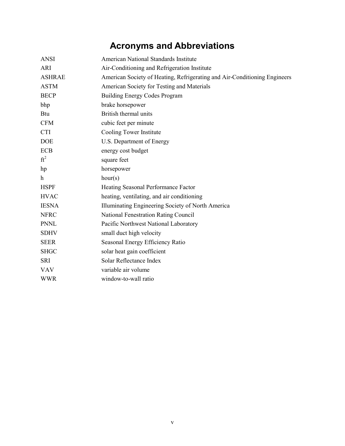# **Acronyms and Abbreviations**

<span id="page-6-0"></span>

| <b>ANSI</b>   | American National Standards Institute                                     |
|---------------|---------------------------------------------------------------------------|
| <b>ARI</b>    | Air-Conditioning and Refrigeration Institute                              |
| <b>ASHRAE</b> | American Society of Heating, Refrigerating and Air-Conditioning Engineers |
| <b>ASTM</b>   | American Society for Testing and Materials                                |
| <b>BECP</b>   | <b>Building Energy Codes Program</b>                                      |
| bhp           | brake horsepower                                                          |
| <b>Btu</b>    | British thermal units                                                     |
| <b>CFM</b>    | cubic feet per minute                                                     |
| <b>CTI</b>    | Cooling Tower Institute                                                   |
| <b>DOE</b>    | U.S. Department of Energy                                                 |
| <b>ECB</b>    | energy cost budget                                                        |
| $ft^2$        | square feet                                                               |
| hp            | horsepower                                                                |
| h             | hour(s)                                                                   |
| <b>HSPF</b>   | Heating Seasonal Performance Factor                                       |
| <b>HVAC</b>   | heating, ventilating, and air conditioning                                |
| <b>IESNA</b>  | Illuminating Engineering Society of North America                         |
| <b>NFRC</b>   | National Fenestration Rating Council                                      |
| <b>PNNL</b>   | Pacific Northwest National Laboratory                                     |
| <b>SDHV</b>   | small duct high velocity                                                  |
| <b>SEER</b>   | Seasonal Energy Efficiency Ratio                                          |
| <b>SHGC</b>   | solar heat gain coefficient                                               |
| <b>SRI</b>    | Solar Reflectance Index                                                   |
| <b>VAV</b>    | variable air volume                                                       |
| <b>WWR</b>    | window-to-wall ratio                                                      |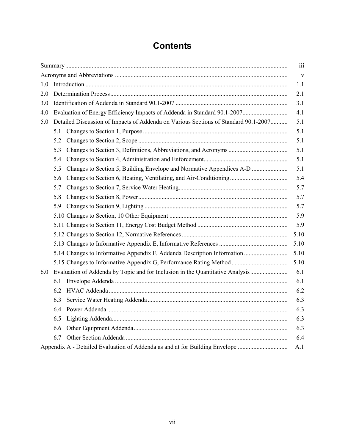# **Contents**

<span id="page-8-0"></span>

|     |                                                                                 |                                                                                     | iii  |  |  |  |  |  |
|-----|---------------------------------------------------------------------------------|-------------------------------------------------------------------------------------|------|--|--|--|--|--|
|     |                                                                                 |                                                                                     | V    |  |  |  |  |  |
| 1.0 | 1.1                                                                             |                                                                                     |      |  |  |  |  |  |
| 2.0 | 2.1                                                                             |                                                                                     |      |  |  |  |  |  |
| 3.0 | 3.1                                                                             |                                                                                     |      |  |  |  |  |  |
| 4.0 | Evaluation of Energy Efficiency Impacts of Addenda in Standard 90.1-2007<br>4.1 |                                                                                     |      |  |  |  |  |  |
| 5.0 |                                                                                 | Detailed Discussion of Impacts of Addenda on Various Sections of Standard 90.1-2007 | 5.1  |  |  |  |  |  |
|     | 5.1                                                                             |                                                                                     | 5.1  |  |  |  |  |  |
|     | 5.2                                                                             |                                                                                     | 5.1  |  |  |  |  |  |
|     | 5.3                                                                             |                                                                                     | 5.1  |  |  |  |  |  |
|     | 5.4                                                                             |                                                                                     | 5.1  |  |  |  |  |  |
|     | 5.5                                                                             | Changes to Section 5, Building Envelope and Normative Appendices A-D                | 5.1  |  |  |  |  |  |
|     | 5.6                                                                             |                                                                                     | 5.4  |  |  |  |  |  |
|     | 5.7                                                                             |                                                                                     | 5.7  |  |  |  |  |  |
|     | 5.8                                                                             |                                                                                     | 5.7  |  |  |  |  |  |
|     | 5.9                                                                             |                                                                                     | 5.7  |  |  |  |  |  |
|     |                                                                                 |                                                                                     | 5.9  |  |  |  |  |  |
|     |                                                                                 |                                                                                     | 5.9  |  |  |  |  |  |
|     |                                                                                 |                                                                                     | 5.10 |  |  |  |  |  |
|     |                                                                                 |                                                                                     | 5.10 |  |  |  |  |  |
|     |                                                                                 | 5.14 Changes to Informative Appendix F, Addenda Description Information             | 5.10 |  |  |  |  |  |
|     |                                                                                 |                                                                                     | 5.10 |  |  |  |  |  |
| 6.0 |                                                                                 | Evaluation of Addenda by Topic and for Inclusion in the Quantitative Analysis       | 6.1  |  |  |  |  |  |
|     | 6.1                                                                             |                                                                                     | 6.1  |  |  |  |  |  |
|     | 6.2                                                                             |                                                                                     | 6.2  |  |  |  |  |  |
|     | 6.3                                                                             |                                                                                     | 6.3  |  |  |  |  |  |
|     | 6.4                                                                             |                                                                                     | 6.3  |  |  |  |  |  |
|     | 6.5                                                                             |                                                                                     | 6.3  |  |  |  |  |  |
|     | 6.6                                                                             |                                                                                     | 6.3  |  |  |  |  |  |
|     | 6.7                                                                             |                                                                                     | 6.4  |  |  |  |  |  |
|     |                                                                                 | Appendix A - Detailed Evaluation of Addenda as and at for Building Envelope         | A.1  |  |  |  |  |  |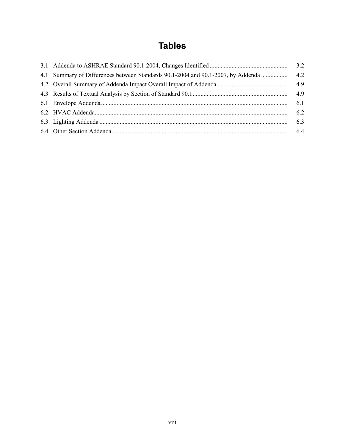# **Tables**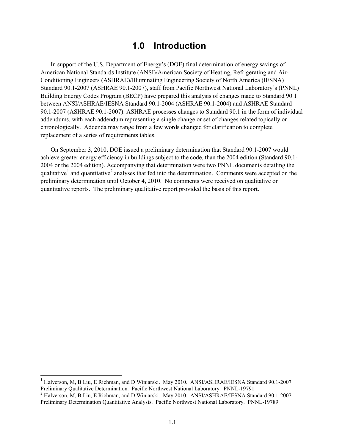# **1.0 Introduction**

<span id="page-10-0"></span>In support of the U.S. Department of Energy's (DOE) final determination of energy savings of American National Standards Institute (ANSI)/American Society of Heating, Refrigerating and Air-Conditioning Engineers (ASHRAE)/Illuminating Engineering Society of North America (IESNA) Standard 90.1-2007 (ASHRAE 90.1-2007), staff from Pacific Northwest National Laboratory's (PNNL) Building Energy Codes Program (BECP) have prepared this analysis of changes made to Standard 90.1 between ANSI/ASHRAE/IESNA Standard 90.1-2004 (ASHRAE 90.1-2004) and ASHRAE Standard 90.1-2007 (ASHRAE 90.1-2007). ASHRAE processes changes to Standard 90.1 in the form of individual addendums, with each addendum representing a single change or set of changes related topically or chronologically. Addenda may range from a few words changed for clarification to complete replacement of a series of requirements tables.

On September 3, 2010, DOE issued a preliminary determination that Standard 90.1-2007 would achieve greater energy efficiency in buildings subject to the code, than the 2004 edition (Standard 90.1- 2004 or the 2004 edition). Accompanying that determination were two PNNL documents detailing the qualitative<sup>[1](#page-8-0)</sup> and quantitative<sup>[2](#page-10-1)</sup> analyses that fed into the determination. Comments were accepted on the preliminary determination until October 4, 2010. No comments were received on qualitative or quantitative reports. The preliminary qualitative report provided the basis of this report.

<sup>&</sup>lt;sup>1</sup> Halverson, M, B Liu, E Richman, and D Winiarski. May 2010. ANSI/ASHRAE/IESNA Standard 90.1-2007 Preliminary Qualitative Determination. Pacific Northwest National Laboratory. PNNL-19791

<span id="page-10-1"></span><sup>&</sup>lt;sup>2</sup> Halverson, M, B Liu, E Richman, and D Winiarski. May 2010. ANSI/ASHRAE/IESNA Standard 90.1-2007 Preliminary Determination Quantitative Analysis. Pacific Northwest National Laboratory. PNNL-19789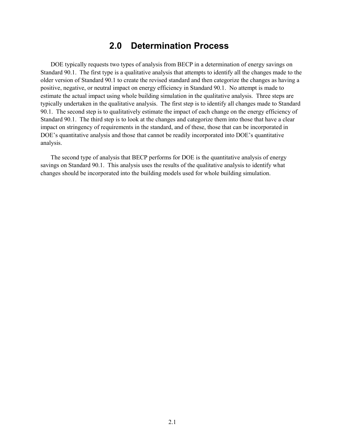# **2.0 Determination Process**

<span id="page-12-0"></span>DOE typically requests two types of analysis from BECP in a determination of energy savings on Standard 90.1. The first type is a qualitative analysis that attempts to identify all the changes made to the older version of Standard 90.1 to create the revised standard and then categorize the changes as having a positive, negative, or neutral impact on energy efficiency in Standard 90.1. No attempt is made to estimate the actual impact using whole building simulation in the qualitative analysis. Three steps are typically undertaken in the qualitative analysis. The first step is to identify all changes made to Standard 90.1. The second step is to qualitatively estimate the impact of each change on the energy efficiency of Standard 90.1. The third step is to look at the changes and categorize them into those that have a clear impact on stringency of requirements in the standard, and of these, those that can be incorporated in DOE's quantitative analysis and those that cannot be readily incorporated into DOE's quantitative analysis.

The second type of analysis that BECP performs for DOE is the quantitative analysis of energy savings on Standard 90.1. This analysis uses the results of the qualitative analysis to identify what changes should be incorporated into the building models used for whole building simulation.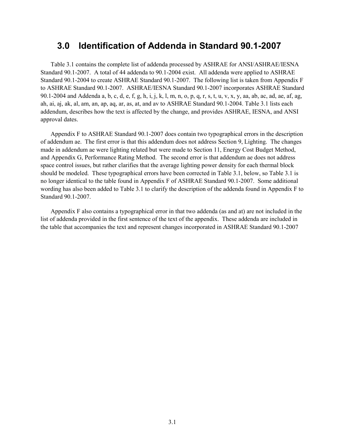# <span id="page-14-0"></span>**3.0 Identification of Addenda in Standard 90.1-2007**

Table 3.1 contains the complete list of addenda processed by ASHRAE for ANSI/ASHRAE/IESNA Standard 90.1-2007. A total of 44 addenda to 90.1-2004 exist. All addenda were applied to ASHRAE Standard 90.1-2004 to create ASHRAE Standard 90.1-2007. The following list is taken from Appendix F to ASHRAE Standard 90.1-2007. ASHRAE/IESNA Standard 90.1-2007 incorporates ASHRAE Standard 90.1-2004 and Addenda a, b, c, d, e, f, g, h, i, j, k, l, m, n, o, p, q, r, s, t, u, v, x, y, aa, ab, ac, ad, ae, af, ag, ah, ai, aj, ak, al, am, an, ap, aq, ar, as, at, and av to ASHRAE Standard 90.1-2004. Table 3.1 lists each addendum, describes how the text is affected by the change, and provides ASHRAE, IESNA, and ANSI approval dates.

Appendix F to ASHRAE Standard 90.1-2007 does contain two typographical errors in the description of addendum ae. The first error is that this addendum does not address Section 9, Lighting. The changes made in addendum ae were lighting related but were made to Section 11, Energy Cost Budget Method, and Appendix G, Performance Rating Method. The second error is that addendum ae does not address space control issues, but rather clarifies that the average lighting power density for each thermal block should be modeled. These typographical errors have been corrected in Table 3.1, below, so Table 3.1 is no longer identical to the table found in Appendix F of ASHRAE Standard 90.1-2007. Some additional wording has also been added to Table 3.1 to clarify the description of the addenda found in Appendix F to Standard 90.1-2007.

Appendix F also contains a typographical error in that two addenda (as and at) are not included in the list of addenda provided in the first sentence of the text of the appendix. These addenda are included in the table that accompanies the text and represent changes incorporated in ASHRAE Standard 90.1-2007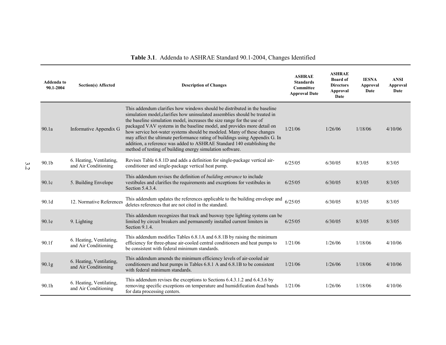<span id="page-15-0"></span>

| Addenda to<br>90.1-2004 | <b>Section(s) Affected</b>                       | <b>Description of Changes</b>                                                                                                                                                                                                                                                                                                                                                                                                                                                                                                                                                                                   | <b>ASHRAE</b><br><b>Standards</b><br><b>Committee</b><br><b>Approval Date</b> | <b>ASHRAE</b><br><b>Board of</b><br><b>Directors</b><br><b>Approval</b><br>Date | <b>IESNA</b><br>Approval<br>Date | <b>ANSI</b><br>Approval<br>Date |
|-------------------------|--------------------------------------------------|-----------------------------------------------------------------------------------------------------------------------------------------------------------------------------------------------------------------------------------------------------------------------------------------------------------------------------------------------------------------------------------------------------------------------------------------------------------------------------------------------------------------------------------------------------------------------------------------------------------------|-------------------------------------------------------------------------------|---------------------------------------------------------------------------------|----------------------------------|---------------------------------|
| 90.1a                   | Informative Appendix G                           | This addendum clarifies how windows should be distributed in the baseline<br>simulation model, clarifies how uninsulated assemblies should be treated in<br>the baseline simulation model, increases the size range for the use of<br>packaged VAV systems in the baseline model, and provides more detail on<br>how service hot-water systems should be modeled. Many of these changes<br>may affect the ultimate performance rating of buildings using Appendix G. In<br>addition, a reference was added to ASHRAE Standard 140 establishing the<br>method of testing of building energy simulation software. | 1/21/06                                                                       | 1/26/06                                                                         | 1/18/06                          | 4/10/06                         |
| 90.1 <sub>b</sub>       | 6. Heating, Ventilating,<br>and Air Conditioning | Revises Table 6.8.1D and adds a definition for single-package vertical air-<br>conditioner and single-package vertical heat pump.                                                                                                                                                                                                                                                                                                                                                                                                                                                                               | 6/25/05                                                                       | 6/30/05                                                                         | 8/3/05                           | 8/3/05                          |
| 90.1c                   | 5. Building Envelope                             | This addendum revises the definition of <i>building entrance</i> to include<br>vestibules and clarifies the requirements and exceptions for vestibules in<br>Section 5.4.3.4.                                                                                                                                                                                                                                                                                                                                                                                                                                   | 6/25/05                                                                       | 6/30/05                                                                         | 8/3/05                           | 8/3/05                          |
| 90.1 <sub>d</sub>       | 12. Normative References                         | This addendum updates the references applicable to the building envelope and<br>deletes references that are not cited in the standard.                                                                                                                                                                                                                                                                                                                                                                                                                                                                          | 6/25/05                                                                       | 6/30/05                                                                         | 8/3/05                           | 8/3/05                          |
| 90.1e                   | 9. Lighting                                      | This addendum recognizes that track and busway type lighting systems can be<br>limited by circuit breakers and permanently installed current limiters in<br>Section 9.1.4.                                                                                                                                                                                                                                                                                                                                                                                                                                      | 6/25/05                                                                       | 6/30/05                                                                         | 8/3/05                           | 8/3/05                          |
| 90.1f                   | 6. Heating, Ventilating,<br>and Air Conditioning | This addendum modifies Tables 6.8.1A and 6.8.1B by raising the minimum<br>efficiency for three-phase air-cooled central conditioners and heat pumps to<br>be consistent with federal minimum standards.                                                                                                                                                                                                                                                                                                                                                                                                         | 1/21/06                                                                       | 1/26/06                                                                         | 1/18/06                          | 4/10/06                         |
| 90.1g                   | 6. Heating, Ventilating,<br>and Air Conditioning | This addendum amends the minimum efficiency levels of air-cooled air<br>conditioners and heat pumps in Tables 6.8.1 A and 6.8.1 B to be consistent<br>with federal minimum standards.                                                                                                                                                                                                                                                                                                                                                                                                                           | 1/21/06                                                                       | 1/26/06                                                                         | 1/18/06                          | 4/10/06                         |
| 90.1h                   | 6. Heating, Ventilating,<br>and Air Conditioning | This addendum revises the exceptions to Sections 6.4.3.1.2 and 6.4.3.6 by<br>removing specific exceptions on temperature and humidification dead bands<br>for data processing centers.                                                                                                                                                                                                                                                                                                                                                                                                                          | 1/21/06                                                                       | 1/26/06                                                                         | 1/18/06                          | 4/10/06                         |

# **Table 3.1**. Addenda to ASHRAE Standard 90.1-2004, Changes Identified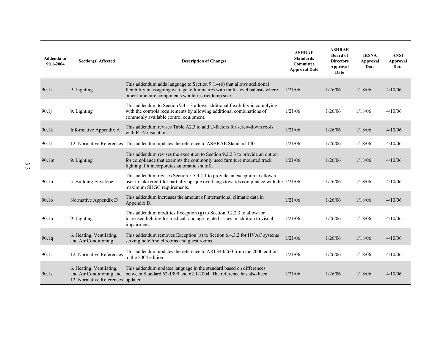| Addenda to<br>90.1-2004 | <b>Section(s) Affected</b>                                    | <b>Description of Changes</b>                                                                                                                                                                                    | <b>ASHRAE</b><br><b>Standards</b><br><b>Committee</b><br><b>Approval Date</b> | <b>ASHRAE</b><br><b>Board of</b><br><b>Directors</b><br>Approval<br>Date | <b>IESNA</b><br><b>Approval</b><br>Date | <b>ANSI</b><br><b>Approval</b><br>Date |
|-------------------------|---------------------------------------------------------------|------------------------------------------------------------------------------------------------------------------------------------------------------------------------------------------------------------------|-------------------------------------------------------------------------------|--------------------------------------------------------------------------|-----------------------------------------|----------------------------------------|
| 90.1i                   | 9. Lighting                                                   | This addendum adds language to Section 9.1.4(b) that allows additional<br>flexibility in assigning wattage to luminaires with multi-level ballasts where<br>other luminaire components would restrict lamp size. | 1/21/06                                                                       | 1/26/06                                                                  | 1/18/06                                 | 4/10/06                                |
| 90.1j                   | 9. Lighting                                                   | This addendum to Section 9.4.1.3 allows additional flexibility in complying<br>with the controls requirements by allowing additional combinations of<br>commonly available control equipment.                    | 1/21/06                                                                       | 1/26/06                                                                  | 1/18/06                                 | 4/10/06                                |
| 90.1k                   | Informative Appendix A                                        | This addendum revises Table A2.3 to add U-factors for screw-down roofs<br>with R-19 insulation.                                                                                                                  | 1/21/06                                                                       | 1/26/06                                                                  | 1/18/06                                 | 4/10/06                                |
| 90.11                   |                                                               | 12. Normative References This addendum updates the reference to ASHRAE Standard 140.                                                                                                                             | 1/21/06                                                                       | 1/26/06                                                                  | 1/18/06                                 | 4/10/06                                |
| 90.1 <sub>m</sub>       | 9. Lighting                                                   | This addendum revises the exception to Section 9.2.2.3 to provide an option<br>for compliance that exempts the commonly used furniture mounted track<br>lighting if it incorporates automatic shutoff.           | 1/21/06                                                                       | 1/26/06                                                                  | 1/18/06                                 | 4/10/06                                |
| 90.1n                   | 5. Building Envelope                                          | This addendum revises Section 5.5.4.4.1 to provide an exception to allow a<br>user to take credit for partially opaque overhangs towards compliance with the 1/21/06<br>maximum SHGC requirements.               |                                                                               | 1/26/06                                                                  | 1/18/06                                 | 4/10/06                                |
| 90.1 <sub>o</sub>       | Normative Appendix D                                          | This addendum increases the amount of international climatic data in<br>Appendix D.                                                                                                                              | 1/21/06                                                                       | 1/26/06                                                                  | 1/18/06                                 | 4/10/06                                |
| 90.1 <sub>p</sub>       | 9. Lighting                                                   | This addendum modifies Exception $(g)$ to Section 9.2.2.3 to allow for<br>increased lighting for medical- and age-related issues in addition to visual<br>impairment.                                            | 1/21/06                                                                       | 1/26/06                                                                  | 1/18/06                                 | 4/10/06                                |
| 90.1q                   | 6. Heating, Ventilating,<br>and Air Conditioning              | This addendum removes Exception (a) to Section 6.4.3.2 for HVAC systems<br>serving hotel/motel rooms and guest rooms.                                                                                            | 1/21/06                                                                       | 1/26/06                                                                  | 1/18/06                                 | 4/10/06                                |
| 90.1r                   | 12. Normative References                                      | This addendum updates the reference to ARI 340/260 from the 2000 edition<br>to the 2004 edition.                                                                                                                 | 1/21/06                                                                       | 1/26/06                                                                  | 1/18/06                                 | 4/10/06                                |
| 90.1s                   | 6. Heating, Ventilating,<br>12. Normative References updated. | This addendum updates language in the standard based on differences<br>and Air Conditioning and between Standard 62-1999 and 62.1-2004. The reference has also been                                              | 1/21/06                                                                       | 1/26/06                                                                  | 1/18/06                                 | 4/10/06                                |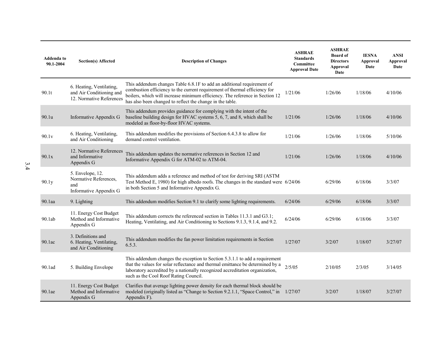| Addenda to<br>90.1-2004 | Section(s) Affected                                                              | <b>Description of Changes</b>                                                                                                                                                                                                                                                                     | <b>ASHRAE</b><br><b>Standards</b><br><b>Committee</b><br><b>Approval Date</b> | <b>ASHRAE</b><br><b>Board</b> of<br><b>Directors</b><br>Approval<br>Date | <b>IESNA</b><br>Approval<br>Date | <b>ANSI</b><br><b>Approval</b><br>Date |
|-------------------------|----------------------------------------------------------------------------------|---------------------------------------------------------------------------------------------------------------------------------------------------------------------------------------------------------------------------------------------------------------------------------------------------|-------------------------------------------------------------------------------|--------------------------------------------------------------------------|----------------------------------|----------------------------------------|
| 90.1t                   | 6. Heating, Ventilating,<br>and Air Conditioning and<br>12. Normative References | This addendum changes Table 6.8.1F to add an additional requirement of<br>combustion efficiency to the current requirement of thermal efficiency for<br>boilers, which will increase minimum efficiency. The reference in Section 12<br>has also been changed to reflect the change in the table. | 1/21/06                                                                       | 1/26/06                                                                  | 1/18/06                          | 4/10/06                                |
| 90.1u                   | Informative Appendix G                                                           | This addendum provides guidance for complying with the intent of the<br>baseline building design for HVAC systems 5, 6, 7, and 8, which shall be<br>modeled as floor-by-floor HVAC systems.                                                                                                       | 1/21/06                                                                       | 1/26/06                                                                  | 1/18/06                          | 4/10/06                                |
| 90.1v                   | 6. Heating, Ventilating,<br>and Air Conditioning                                 | This addendum modifies the provisions of Section 6.4.3.8 to allow for<br>demand control ventilation.                                                                                                                                                                                              | 1/21/06                                                                       | 1/26/06                                                                  | 1/18/06                          | 5/10/06                                |
| 90.1x                   | 12. Normative References<br>and Informative<br>Appendix G                        | This addendum updates the normative references in Section 12 and<br>Informative Appendix G for ATM-02 to ATM-04.                                                                                                                                                                                  | 1/21/06                                                                       | 1/26/06                                                                  | 1/18/06                          | 4/10/06                                |
| 90.1y                   | 5. Envelope, 12.<br>Normative References,<br>and<br>Informative Appendix G       | This addendum adds a reference and method of test for deriving SRI (ASTM<br>Test Method E, 1980) for high albedo roofs. The changes in the standard were 6/24/06<br>in both Section 5 and Informative Appendix G.                                                                                 |                                                                               | 6/29/06                                                                  | 6/18/06                          | 3/3/07                                 |
| 90.1aa                  | 9. Lighting                                                                      | This addendum modifies Section 9.1 to clarify some lighting requirements.                                                                                                                                                                                                                         | 6/24/06                                                                       | 6/29/06                                                                  | 6/18/06                          | 3/3/07                                 |
| 90.1ab                  | 11. Energy Cost Budget<br>Method and Informative<br>Appendix G                   | This addendum corrects the referenced section in Tables 11.3.1 and G3.1;<br>Heating, Ventilating, and Air Conditioning to Sections 9.1.3, 9.1.4, and 9.2.                                                                                                                                         | 6/24/06                                                                       | 6/29/06                                                                  | 6/18/06                          | 3/3/07                                 |
| 90.1ac                  | 3. Definitions and<br>6. Heating, Ventilating,<br>and Air Conditioning           | This addendum modifies the fan power limitation requirements in Section<br>6.5.3.                                                                                                                                                                                                                 | 1/27/07                                                                       | 3/2/07                                                                   | 1/18/07                          | 3/27/07                                |
| 90.1ad                  | 5. Building Envelope                                                             | This addendum changes the exception to Section 5.3.1.1 to add a requirement<br>that the values for solar reflectance and thermal emittance be determined by a<br>laboratory accredited by a nationally recognized accreditation organization,<br>such as the Cool Roof Rating Council.            | 2/5/05                                                                        | 2/10/05                                                                  | 2/3/05                           | 3/14/05                                |
| 90.1ae                  | 11. Energy Cost Budget<br>Method and Informative<br>Appendix G                   | Clarifies that average lighting power density for each thermal block should be<br>modeled (originally listed as "Change to Section 9.2.1.1, "Space Control," in 1/27/07<br>Appendix F).                                                                                                           |                                                                               | 3/2/07                                                                   | 1/18/07                          | 3/27/07                                |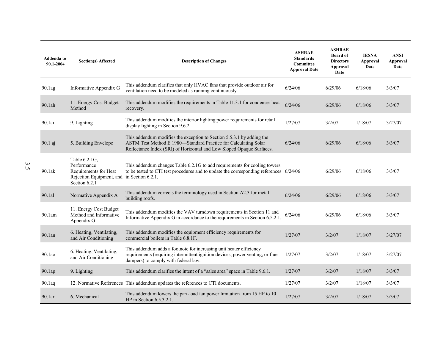| Addenda to<br>90.1-2004 | Section(s) Affected                                                                                | <b>Description of Changes</b>                                                                                                                                                                                     | <b>ASHRAE</b><br><b>Standards</b><br><b>Committee</b><br><b>Approval Date</b> | <b>ASHRAE</b><br><b>Board of</b><br><b>Directors</b><br><b>Approval</b><br>Date | <b>IESNA</b><br><b>Approval</b><br>Date | <b>ANSI</b><br>Approval<br>Date |
|-------------------------|----------------------------------------------------------------------------------------------------|-------------------------------------------------------------------------------------------------------------------------------------------------------------------------------------------------------------------|-------------------------------------------------------------------------------|---------------------------------------------------------------------------------|-----------------------------------------|---------------------------------|
| 90.1ag                  | Informative Appendix G                                                                             | This addendum clarifies that only HVAC fans that provide outdoor air for<br>ventilation need to be modeled as running continuously.                                                                               | 6/24/06                                                                       | 6/29/06                                                                         | 6/18/06                                 | 3/3/07                          |
| 90.1ah                  | 11. Energy Cost Budget<br>Method                                                                   | This addendum modifies the requirements in Table 11.3.1 for condenser heat<br>recovery.                                                                                                                           | 6/24/06                                                                       | 6/29/06                                                                         | 6/18/06                                 | 3/3/07                          |
| 90.1ai                  | 9. Lighting                                                                                        | This addendum modifies the interior lighting power requirements for retail<br>display lighting in Section 9.6.2.                                                                                                  | 1/27/07                                                                       | 3/2/07                                                                          | 1/18/07                                 | 3/27/07                         |
| 90.1 aj                 | 5. Building Envelope                                                                               | This addendum modifies the exception to Section 5.5.3.1 by adding the<br>ASTM Test Method E 1980-Standard Practice for Calculating Solar<br>Reflectance Index (SRI) of Horizontal and Low Sloped Opaque Surfaces. | 6/24/06                                                                       | 6/29/06                                                                         | 6/18/06                                 | 3/3/07                          |
| 90.1ak                  | Table 6.2.1G,<br>Performance<br>Requirements for Heat<br>Rejection Equipment, and<br>Section 6.2.1 | This addendum changes Table 6.2.1G to add requirements for cooling towers<br>to be tested to CTI test procedures and to update the corresponding references 6/24/06<br>in Section 6.2.1.                          |                                                                               | 6/29/06                                                                         | 6/18/06                                 | 3/3/07                          |
| 90.1al                  | Normative Appendix A                                                                               | This addendum corrects the terminology used in Section A2.3 for metal<br>building roofs.                                                                                                                          | 6/24/06                                                                       | 6/29/06                                                                         | 6/18/06                                 | 3/3/07                          |
| 90.1am                  | 11. Energy Cost Budget<br>Method and Informative<br>Appendix G                                     | This addendum modifies the VAV turndown requirements in Section 11 and<br>Informative Appendix G in accordance to the requirements in Section 6.5.2.1.                                                            | 6/24/06                                                                       | 6/29/06                                                                         | 6/18/06                                 | 3/3/07                          |
| 90.1an                  | 6. Heating, Ventilating,<br>and Air Conditioning                                                   | This addendum modifies the equipment efficiency requirements for<br>commercial boilers in Table 6.8.1F.                                                                                                           | 1/27/07                                                                       | 3/2/07                                                                          | 1/18/07                                 | 3/27/07                         |
| $90.1$ ao               | 6. Heating, Ventilating,<br>and Air Conditioning                                                   | This addendum adds a footnote for increasing unit heater efficiency<br>requirements (requiring intermittent ignition devices, power venting, or flue<br>dampers) to comply with federal law.                      | 1/27/07                                                                       | 3/2/07                                                                          | 1/18/07                                 | 3/27/07                         |
| 90.1ap                  | 9. Lighting                                                                                        | This addendum clarifies the intent of a "sales area" space in Table 9.6.1.                                                                                                                                        | 1/27/07                                                                       | 3/2/07                                                                          | 1/18/07                                 | 3/3/07                          |
| 90.1aq                  |                                                                                                    | 12. Normative References This addendum updates the references to CTI documents.                                                                                                                                   | 1/27/07                                                                       | 3/2/07                                                                          | 1/18/07                                 | 3/3/07                          |
| 90.1 <sub>ar</sub>      | 6. Mechanical                                                                                      | This addendum lowers the part-load fan power limitation from 15 HP to 10<br>HP in Section $6.5.3.2.1$ .                                                                                                           | 1/27/07                                                                       | 3/2/07                                                                          | 1/18/07                                 | 3/3/07                          |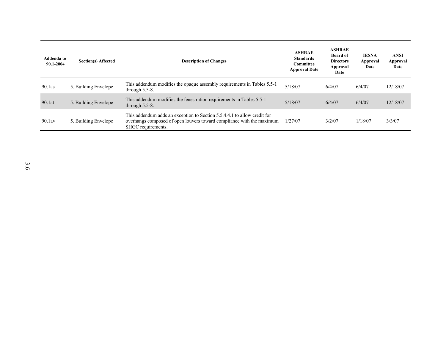| Addenda to<br>90.1-2004 | <b>Section(s) Affected</b> | <b>Description of Changes</b>                                                                                                                                           | <b>ASHRAE</b><br><b>Standards</b><br>Committee<br><b>Approval Date</b> | <b>ASHRAE</b><br><b>Board of</b><br><b>Directors</b><br>Approval<br>Date | <b>IESNA</b><br>Approval<br>Date | ANSI<br><b>Approval</b><br>Date |
|-------------------------|----------------------------|-------------------------------------------------------------------------------------------------------------------------------------------------------------------------|------------------------------------------------------------------------|--------------------------------------------------------------------------|----------------------------------|---------------------------------|
| $90.1$ as               | 5. Building Envelope       | This addendum modifies the opaque assembly requirements in Tables 5.5-1<br>through $5.5-8$ .                                                                            | 5/18/07                                                                | 6/4/07                                                                   | 6/4/07                           | 12/18/07                        |
| 90.1at                  | 5. Building Envelope       | This addendum modifies the fenestration requirements in Tables 5.5-1<br>through $5.5-8$ .                                                                               | 5/18/07                                                                | 6/4/07                                                                   | 6/4/07                           | 12/18/07                        |
| $90.1$ av               | 5. Building Envelope       | This addendum adds an exception to Section 5.5.4.4.1 to allow credit for<br>overhangs composed of open louvers toward compliance with the maximum<br>SHGC requirements. | 1/27/07                                                                | 3/2/07                                                                   | 1/18/07                          | 3/3/07                          |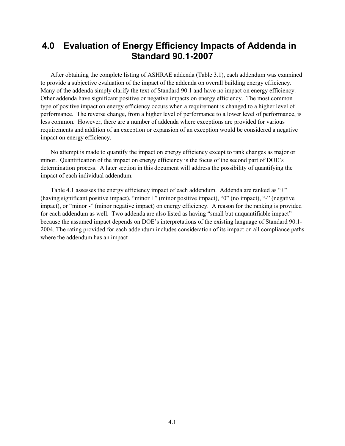# <span id="page-20-0"></span>**4.0 Evaluation of Energy Efficiency Impacts of Addenda in Standard 90.1-2007**

After obtaining the complete listing of ASHRAE addenda (Table 3.1), each addendum was examined to provide a subjective evaluation of the impact of the addenda on overall building energy efficiency. Many of the addenda simply clarify the text of Standard 90.1 and have no impact on energy efficiency. Other addenda have significant positive or negative impacts on energy efficiency. The most common type of positive impact on energy efficiency occurs when a requirement is changed to a higher level of performance. The reverse change, from a higher level of performance to a lower level of performance, is less common. However, there are a number of addenda where exceptions are provided for various requirements and addition of an exception or expansion of an exception would be considered a negative impact on energy efficiency.

No attempt is made to quantify the impact on energy efficiency except to rank changes as major or minor. Quantification of the impact on energy efficiency is the focus of the second part of DOE's determination process. A later section in this document will address the possibility of quantifying the impact of each individual addendum.

Table 4.1 assesses the energy efficiency impact of each addendum. Addenda are ranked as "+" (having significant positive impact), "minor +" (minor positive impact), "0" (no impact), "-" (negative impact), or "minor -" (minor negative impact) on energy efficiency. A reason for the ranking is provided for each addendum as well. Two addenda are also listed as having "small but unquantifiable impact" because the assumed impact depends on DOE's interpretations of the existing language of Standard 90.1- 2004. The rating provided for each addendum includes consideration of its impact on all compliance paths where the addendum has an impact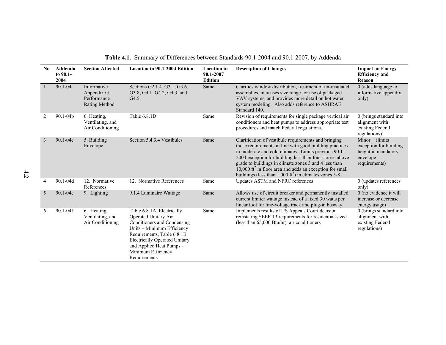<span id="page-21-0"></span>

| No.            | Addenda<br>to 90.1-<br>2004 | <b>Section Affected</b>                                    | Location in 90.1-2004 Edition                                                                                                                                                                                                                          | <b>Location</b> in<br>90.1-2007<br><b>Edition</b> | <b>Description of Changes</b>                                                                                                                                                                                                                                                                                                                                                                                                              | <b>Impact on Energy</b><br><b>Efficiency and</b><br>Reason                                      |
|----------------|-----------------------------|------------------------------------------------------------|--------------------------------------------------------------------------------------------------------------------------------------------------------------------------------------------------------------------------------------------------------|---------------------------------------------------|--------------------------------------------------------------------------------------------------------------------------------------------------------------------------------------------------------------------------------------------------------------------------------------------------------------------------------------------------------------------------------------------------------------------------------------------|-------------------------------------------------------------------------------------------------|
|                | 90.1-04a                    | Informative<br>Appendix G.<br>Performance<br>Rating Method | Sections G2.1.4, G3.1, G3.6,<br>G3.8, G4.1, G4.2, G4.3, and<br>G4.5.                                                                                                                                                                                   | Same                                              | Clarifies window distribution, treatment of un-insulated<br>assemblies, increases size range for use of packaged<br>VAV systems, and provides more detail on hot water<br>system modeling. Also adds reference to ASHRAE<br>Standard 140.                                                                                                                                                                                                  | 0 (adds language to<br>informative appendix<br>only)                                            |
| $\overline{2}$ | $90.1 - 04b$                | 6. Heating,<br>Ventilating, and<br>Air Conditioning        | Table 6.8.1D                                                                                                                                                                                                                                           | Same                                              | Revision of requirements for single package vertical air<br>conditioners and heat pumps to address appropriate test<br>procedures and match Federal regulations.                                                                                                                                                                                                                                                                           | 0 (brings standard into<br>alignment with<br>existing Federal<br>regulations)                   |
| 3              | 90.1-04c                    | 5. Building<br>Envelope                                    | Section 5.4.3.4 Vestibules                                                                                                                                                                                                                             | Same                                              | Clarification of vestibule requirements and bringing<br>those requirements in line with good building practices<br>in moderate and cold climates. Limits previous 90.1-<br>2004 exception for building less than four stories above<br>grade to buildings in climate zones 3 and 4 less than<br>10,000 ft <sup>2</sup> in floor area and adds an exception for small<br>buildings (less than $1,000 \text{ ft}^2$ ) in climates zones 5-8. | Minor $+$ (limits<br>exception for building<br>height in mandatory<br>envelope<br>requirements) |
| 4              | $90.1 - 04d$                | 12. Normative<br>References                                | 12. Normative References                                                                                                                                                                                                                               | Same                                              | Updates ASTM and NFRC references                                                                                                                                                                                                                                                                                                                                                                                                           | 0 (updates references<br>only)                                                                  |
| 5              | $90.1 - 04e$                | 9. Lighting                                                | 9.1.4 Luminaire Wattage                                                                                                                                                                                                                                | Same                                              | Allows use of circuit breaker and permanently installed<br>current limiter wattage instead of a fixed 30 watts per<br>linear foot for line-voltage track and plug-in busway                                                                                                                                                                                                                                                                | 0 (no evidence it will<br>increase or decrease<br>energy usage)                                 |
| 6              | 90.1-04f                    | 6. Heating,<br>Ventilating, and<br>Air Conditioning        | Table 6.8.1A Electrically<br>Operated Unitary Air<br>Conditioners and Condensing<br>Units - Minimum Efficiency<br>Requirements, Table 6.8.1B<br><b>Electrically Operated Unitary</b><br>and Applied Heat Pumps -<br>Minimum Efficiency<br>Requirements | Same                                              | Implements results of US Appeals Court decision<br>reinstating SEER 13 requirements for residential-sized<br>(less than 65,000 Btu/hr) air conditioners                                                                                                                                                                                                                                                                                    | 0 (brings standard into<br>alignment with<br>existing Federal<br>regulations)                   |

**Table 4.1**. Summary of Differences between Standards 90.1-2004 and 90.1-2007, by Addenda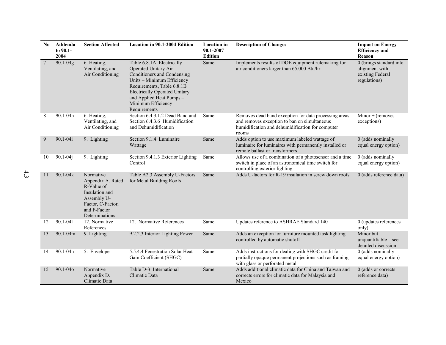| No              | Addenda<br>to 90.1-<br>2004 | <b>Section Affected</b>                                                                                                              | <b>Location in 90.1-2004 Edition</b>                                                                                                                                                                                                                   | <b>Location</b> in<br>90.1-2007<br><b>Edition</b> | <b>Description of Changes</b>                                                                                                                                      | <b>Impact on Energy</b><br><b>Efficiency</b> and<br><b>Reason</b>             |
|-----------------|-----------------------------|--------------------------------------------------------------------------------------------------------------------------------------|--------------------------------------------------------------------------------------------------------------------------------------------------------------------------------------------------------------------------------------------------------|---------------------------------------------------|--------------------------------------------------------------------------------------------------------------------------------------------------------------------|-------------------------------------------------------------------------------|
| $7\phantom{.0}$ | 90.1-04g                    | 6. Heating,<br>Ventilating, and<br>Air Conditioning                                                                                  | Table 6.8.1A Electrically<br>Operated Unitary Air<br>Conditioners and Condensing<br>Units - Minimum Efficiency<br>Requirements, Table 6.8.1B<br><b>Electrically Operated Unitary</b><br>and Applied Heat Pumps -<br>Minimum Efficiency<br>Requirements | Same                                              | Implements results of DOE equipment rulemaking for<br>air conditioners larger than 65,000 Btu/hr                                                                   | 0 (brings standard into<br>alignment with<br>existing Federal<br>regulations) |
| 8               | 90.1-04h                    | 6. Heating,<br>Ventilating, and<br>Air Conditioning                                                                                  | Section 6.4.3.1.2 Dead Band and<br>Section 6.4.3.6 Humidification<br>and Dehumidification                                                                                                                                                              | Same                                              | Removes dead band exception for data processing areas<br>and removes exception to ban on simultaneous<br>humidification and dehumidification for computer<br>rooms | $Minor + (removes$<br>exceptions)                                             |
| 9               | $90.1 - 04i$                | 9. Lighting                                                                                                                          | Section 9.1.4 Luminaire<br>Wattage                                                                                                                                                                                                                     | Same                                              | Adds option to use maximum labeled wattage of<br>luminaire for luminaires with permanently installed or<br>remote ballast or transformers                          | 0 (adds nominally<br>equal energy option)                                     |
| 10              | $90.1 - 04$ j               | 9. Lighting                                                                                                                          | Section 9.4.1.3 Exterior Lighting<br>Control                                                                                                                                                                                                           | Same                                              | Allows use of a combination of a photosensor and a time<br>switch in place of an astronomical time switch for<br>controlling exterior lighting                     | 0 (adds nominally<br>equal energy option)                                     |
| 11              | 90.1-04k                    | Normative<br>Appendix A. Rated<br>R-Value of<br>Insulation and<br>Assembly U-<br>Factor, C-Factor,<br>and F-Factor<br>Determinations | Table A2.3 Assembly U-Factors<br>for Metal Building Roofs                                                                                                                                                                                              | Same                                              | Adds U-factors for R-19 insulation in screw down roofs                                                                                                             | 0 (adds reference data)                                                       |
| 12              | 90.1-041                    | 12. Normative<br>References                                                                                                          | 12. Normative References                                                                                                                                                                                                                               | Same                                              | Updates reference to ASHRAE Standard 140                                                                                                                           | 0 (updates references<br>only)                                                |
| 13              | $90.1 - 04m$                | 9. Lighting                                                                                                                          | 9.2.2.3 Interior Lighting Power                                                                                                                                                                                                                        | Same                                              | Adds an exception for furniture mounted task lighting<br>controlled by automatic shutoff                                                                           | Minor but<br>unquantifiable $-$ see<br>detailed discussion                    |
| 14              | 90.1-04n                    | 5. Envelope                                                                                                                          | 5.5.4.4 Fenestration Solar Heat<br>Gain Coefficient (SHGC)                                                                                                                                                                                             | Same                                              | Adds instructions for dealing with SHGC credit for<br>partially opaque permanent projections such as framing<br>with glass or perforated metal                     | 0 (adds nominally<br>equal energy option)                                     |
| 15              | 90.1-040                    | Normative<br>Appendix D.<br>Climatic Data                                                                                            | Table D-3 International<br>Climatic Data                                                                                                                                                                                                               | Same                                              | Adds additional climatic data for China and Taiwan and<br>corrects errors for climatic data for Malaysia and<br>Mexico                                             | 0 (adds or corrects<br>reference data)                                        |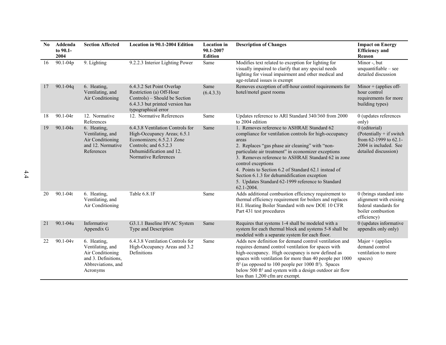| N <sub>0</sub> | Addenda<br>to 90.1-<br>2004 | <b>Section Affected</b>                                                                                      | <b>Location in 90.1-2004 Edition</b>                                                                                                                                      | <b>Location</b> in<br>90.1-2007<br><b>Edition</b> | <b>Description of Changes</b>                                                                                                                                                                                                                                                                                                                                                                                                                                                  | <b>Impact on Energy</b><br><b>Efficiency</b> and<br>Reason                                                                |
|----------------|-----------------------------|--------------------------------------------------------------------------------------------------------------|---------------------------------------------------------------------------------------------------------------------------------------------------------------------------|---------------------------------------------------|--------------------------------------------------------------------------------------------------------------------------------------------------------------------------------------------------------------------------------------------------------------------------------------------------------------------------------------------------------------------------------------------------------------------------------------------------------------------------------|---------------------------------------------------------------------------------------------------------------------------|
| 16             | 90.1-04p                    | 9. Lighting                                                                                                  | 9.2.2.3 Interior Lighting Power                                                                                                                                           | Same                                              | Modifies text related to exception for lighting for<br>visually impaired to clarify that any special needs<br>lighting for visual impairment and other medical and<br>age-related issues is exempt                                                                                                                                                                                                                                                                             | Minor -, but<br>unquantifiable - see<br>detailed discussion                                                               |
| 17             | $90.1 - 04q$                | 6. Heating,<br>Ventilating, and<br>Air Conditioning                                                          | 6.4.3.2 Set Point Overlap<br>Restriction (a) Off-Hour<br>Controls) – Should be Section<br>6.4.3.3 but printed version has<br>typographical error                          | Same<br>(6.4.3.3)                                 | Removes exception of off-hour control requirements for<br>hotel/motel guest rooms                                                                                                                                                                                                                                                                                                                                                                                              | Minor $+$ (applies off-<br>hour control<br>requirements for more<br>building types)                                       |
| 18             | $90.1 - 04r$                | 12. Normative<br>References                                                                                  | 12. Normative References                                                                                                                                                  | Same                                              | Updates reference to ARI Standard 340/360 from 2000<br>to 2004 edition                                                                                                                                                                                                                                                                                                                                                                                                         | 0 (updates references<br>only)                                                                                            |
| 19             | 90.1-04s                    | 6. Heating,<br>Ventilating, and<br>Air Conditioning<br>and 12. Normative<br>References                       | 6.4.3.8 Ventilation Controls for<br>High-Occupancy Areas; 6.5.1<br>Economizers; 6.5.2.1 Zone<br>Controls; and 6.5.2.3<br>Dehumidification and 12.<br>Normative References | Same                                              | 1. Removes reference to ASHRAE Standard 62<br>compliance for ventilation controls for high-occupancy<br>areas<br>2. Replaces "gas phase air cleaning" with "non-<br>particulate air treatment" in economizer exceptions<br>3. Removes reference to ASHRAE Standard 62 in zone<br>control exceptions<br>4. Points to Section 6.2 of Standard 62.1 instead of<br>Section 6.1.3 for dehumidification exception<br>5. Updates Standard 62-1999 reference to Standard<br>62.1-2004. | 0 (editorial)<br>$(Potentially + if switch)$<br>from $62-1999$ to $62.1$<br>2004 is included. See<br>detailed discussion) |
| 20             | $90.1 - 04t$                | 6. Heating,<br>Ventilating, and<br>Air Conditioning                                                          | Table 6.8.1F                                                                                                                                                              | Same                                              | Adds additional combustion efficiency requirement to<br>thermal efficiency requirement for boilers and replaces<br>H.I. Heating Boiler Standard with new DOE 10 CFR<br>Part 431 test procedures                                                                                                                                                                                                                                                                                | 0 (brings standard into<br>alignment with exising<br>federal standards for<br>boiler combustion<br>efficiency)            |
| 21             | 90.1-04u                    | Informative<br>Appendix G                                                                                    | G3.1.1 Baseline HVAC System<br>Type and Description                                                                                                                       | Same                                              | Requires that systems 1-4 shall be modeled with a<br>system for each thermal block and systems 5-8 shall be<br>modeled with a separate system for each floor.                                                                                                                                                                                                                                                                                                                  | 0 (updates informative)<br>appendix only only)                                                                            |
| 22             | $90.1 - 04v$                | 6. Heating,<br>Ventilating, and<br>Air Conditioning<br>and 3. Definitions,<br>Abbreviations, and<br>Acronyms | 6.4.3.8 Ventilation Controls for<br>High-Occupancy Areas and 3.2<br>Definitions                                                                                           | Same                                              | Adds new definition for demand control ventilation and<br>requires demand control ventilation for spaces with<br>high-occupancy. High occupancy is now defined as<br>spaces with ventilation for more than 40 people per 1000<br>$ft^2$ (as opposed to 100 people per 1000 ft <sup>2</sup> ). Spaces<br>below 500 ft <sup>2</sup> and system with a design outdoor air flow<br>less than 1,200 cfm are exempt.                                                                 | Major $+$ (applies<br>demand control<br>ventilation to more<br>spaces)                                                    |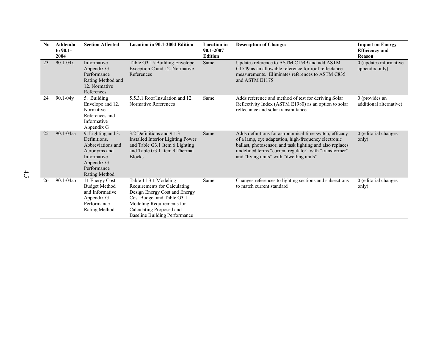| No | Addenda<br>to 90.1-<br>2004 | <b>Section Affected</b>                                                                                                              | <b>Location in 90.1-2004 Edition</b>                                                                                                                                                                           | <b>Location</b> in<br>90.1-2007<br><b>Edition</b> | <b>Description of Changes</b>                                                                                                                                                                                                                                                      | <b>Impact on Energy</b><br><b>Efficiency and</b><br>Reason |
|----|-----------------------------|--------------------------------------------------------------------------------------------------------------------------------------|----------------------------------------------------------------------------------------------------------------------------------------------------------------------------------------------------------------|---------------------------------------------------|------------------------------------------------------------------------------------------------------------------------------------------------------------------------------------------------------------------------------------------------------------------------------------|------------------------------------------------------------|
| 23 | $90.1 - 04x$                | Informative<br>Appendix G<br>Performance<br>Rating Method and<br>12. Normative<br>References                                         | Table G3.15 Building Envelope<br>Exception C and 12. Normative<br>References                                                                                                                                   | Same                                              | Updates reference to ASTM C1549 and add ASTM<br>C1549 as an allowable reference for roof reflectance<br>measurements. Eliminates references to ASTM C835<br>and ASTM E1175                                                                                                         | 0 (updates informative<br>appendix only)                   |
| 24 | $90.1 - 04y$                | 5. Building<br>Envelope and 12.<br>Normative<br>References and<br>Informative<br>Appendix G                                          | 5.5.3.1 Roof Insulation and 12.<br>Normative References                                                                                                                                                        | Same                                              | Adds reference and method of test for deriving Solar<br>Reflectivity Index (ASTM E1980) as an option to solar<br>reflectance and solar transmittance                                                                                                                               | $0$ (provides an<br>additional alternative)                |
| 25 | 90.1-04aa                   | 9. Lighting and 3.<br>Definitions.<br>Abbreviations and<br>Acronyms and<br>Informative<br>Appendix G<br>Performance<br>Rating Method | 3.2 Definitions and 9.1.3<br>Installed Interior Lighting Power<br>and Table G3.1 Item 6 Lighting<br>and Table G3.1 Item 9 Thermal<br><b>Blocks</b>                                                             | Same                                              | Adds definitions for astronomical time switch, efficacy<br>of a lamp, eye adaptation, high-frequency electronic<br>ballast, photosensor, and task lighting and also replaces<br>undefined terms "current regulator" with "transformer"<br>and "living units" with "dwelling units" | 0 (editorial changes<br>only)                              |
| 26 | 90.1-04ab                   | 11 Energy Cost<br><b>Budget Method</b><br>and Informative<br>Appendix G<br>Performance<br>Rating Method                              | Table 11.3.1 Modeling<br>Requirements for Calculating<br>Design Energy Cost and Energy<br>Cost Budget and Table G3.1<br>Modeling Requirements for<br>Calculating Proposed and<br>Baseline Building Performance | Same                                              | Changes references to lighting sections and subsections<br>to match current standard                                                                                                                                                                                               | 0 (editorial changes<br>only)                              |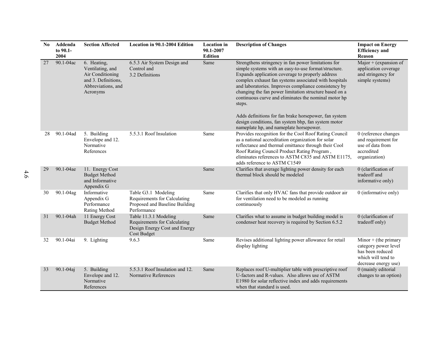| N <sub>0</sub> | Addenda<br>to 90.1-<br>2004 | <b>Section Affected</b>                                                                                      | Location in 90.1-2004 Edition                                                                                | <b>Location</b> in<br>90.1-2007<br><b>Edition</b> | <b>Description of Changes</b>                                                                                                                                                                                                                                                                                                                                                                                                                                                                                                                                           | <b>Impact on Energy</b><br><b>Efficiency</b> and<br>Reason                                                       |
|----------------|-----------------------------|--------------------------------------------------------------------------------------------------------------|--------------------------------------------------------------------------------------------------------------|---------------------------------------------------|-------------------------------------------------------------------------------------------------------------------------------------------------------------------------------------------------------------------------------------------------------------------------------------------------------------------------------------------------------------------------------------------------------------------------------------------------------------------------------------------------------------------------------------------------------------------------|------------------------------------------------------------------------------------------------------------------|
| 27             | 90.1-04ac                   | 6. Heating,<br>Ventilating, and<br>Air Conditioning<br>and 3. Definitions,<br>Abbreviations, and<br>Acronyms | 6.5.3 Air System Design and<br>Control and<br>3.2 Definitions                                                | Same                                              | Strengthens stringency in fan power limitations for<br>simple systems with an easy-to-use format/structure.<br>Expands application coverage to properly address<br>complex exhaust fan systems associated with hospitals<br>and laboratories. Improves compliance consistency by<br>changing the fan power limitation structure based on a<br>continuous curve and eliminates the nominal motor hp<br>steps.<br>Adds definitions for fan brake horsepower, fan system<br>design conditions, fan system bhp, fan system motor<br>nameplate hp, and nameplate horsepower. | $\overline{\text{Major}}$ + (expansion of<br>application coverage<br>and stringency for<br>simple systems)       |
| 28             | 90.1-04ad                   | 5. Building<br>Envelope and 12.<br>Normative<br>References                                                   | 5.5.3.1 Roof Insulation                                                                                      | Same                                              | Provides recognition for the Cool Roof Rating Council<br>as a national accreditation organization for solar<br>reflectance and thermal emittance through their Cool<br>Roof Rating Council Product Rating Program,<br>eliminates references to ASTM C835 and ASTM E1175,<br>adds reference to ASTM C1549                                                                                                                                                                                                                                                                | 0 (reference changes<br>and requirement for<br>use of data from<br>accredited<br>organization)                   |
| 29             | 90.1-04ae                   | 11. Energy Cost<br><b>Budget Method</b><br>and Informative<br>Appendix G                                     |                                                                                                              | Same                                              | Clarifies that average lighting power density for each<br>thermal block should be modeled                                                                                                                                                                                                                                                                                                                                                                                                                                                                               | 0 (clarification of<br>tradeoff and<br>informative only)                                                         |
| 30             | 90.1-04ag                   | Informative<br>Appendix G<br>Performance<br>Rating Method                                                    | Table G3.1 Modeling<br>Requirements for Calculating<br>Proposed and Baseline Building<br>Performance         | Same                                              | Clarifies that only HVAC fans that provide outdoor air<br>for ventilation need to be modeled as running<br>continuously                                                                                                                                                                                                                                                                                                                                                                                                                                                 | 0 (informative only)                                                                                             |
| 31             | 90.1-04ah                   | 11 Energy Cost<br><b>Budget Method</b>                                                                       | Table 11.3.1 Modeling<br>Requirements for Calculating<br>Design Energy Cost and Energy<br><b>Cost Budget</b> | Same                                              | Clarifies what to assume in budget building model is<br>condenser heat recovery is required by Section 6.5.2                                                                                                                                                                                                                                                                                                                                                                                                                                                            | 0 (clarification of<br>tradeoff only)                                                                            |
| 32             | 90.1-04ai                   | 9. Lighting                                                                                                  | 9.6.3                                                                                                        | Same                                              | Revises additional lighting power allowance for retail<br>display lighting                                                                                                                                                                                                                                                                                                                                                                                                                                                                                              | Minor $+$ (the primary<br>category power level<br>has been reduced<br>which will tend to<br>decrease energy use) |
| 33             | 90.1-04aj                   | 5. Building<br>Envelope and 12.<br>Normative<br>References                                                   | 5.5.3.1 Roof Insulation and 12.<br>Normative References                                                      | Same                                              | Replaces roof U-multiplier table with prescriptive roof<br>U-factors and R-values. Also allows use of ASTM<br>E1980 for solar reflective index and adds requirements<br>when that standard is used.                                                                                                                                                                                                                                                                                                                                                                     | 0 (mainly editorial<br>changes to an option)                                                                     |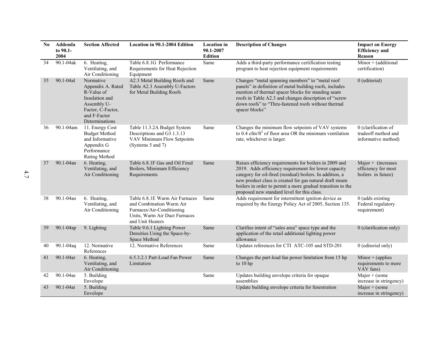| N <sub>0</sub> | Addenda<br>to 90.1-<br>2004 | <b>Section Affected</b>                                                                                                              | Location in 90.1-2004 Edition                                                                                                                | <b>Location</b> in<br>90.1-2007<br><b>Edition</b> | <b>Description of Changes</b>                                                                                                                                                                                                                                                                                                                         | <b>Impact on Energy</b><br><b>Efficiency</b> and<br>Reason         |
|----------------|-----------------------------|--------------------------------------------------------------------------------------------------------------------------------------|----------------------------------------------------------------------------------------------------------------------------------------------|---------------------------------------------------|-------------------------------------------------------------------------------------------------------------------------------------------------------------------------------------------------------------------------------------------------------------------------------------------------------------------------------------------------------|--------------------------------------------------------------------|
| 34             | 90.1-04ak                   | 6. Heating,<br>Ventilating, and<br>Air Conditioning                                                                                  | Table 6.8.1G Performance<br>Requirements for Heat Rejection<br>Equipment                                                                     | Same                                              | Adds a third-party performance certification testing<br>program to heat rejection equipment requirements                                                                                                                                                                                                                                              | Minor + (additional<br>certification)                              |
| 35             | 90.1-04al                   | Normative<br>Appendix A. Rated<br>R-Value of<br>Insulation and<br>Assembly U-<br>Factor, C-Factor,<br>and F-Factor<br>Determinations | A2.3 Metal Building Roofs and<br>Table A2.3 Assembly U-Factors<br>for Metal Building Roofs                                                   | Same                                              | Changes "metal spanning members" to "metal roof<br>panels" in definition of metal building roofs, includes<br>mention of thermal spacer blocks for standing seam<br>roofs in Table A2.3 and changes description of "screw<br>down roofs" to "Thru-fastened roofs without thermal<br>spacer blocks"                                                    | 0 (editorial)                                                      |
| 36             | 90.1-04am                   | 11. Energy Cost<br><b>Budget Method</b><br>and Informative<br>Appendix G<br>Performance<br>Rating Method                             | Table 11.3.2A Budget System<br>Descriptions and G3.1.3.13<br>VAV Minimum Flow Setpoints<br>(Systems 5 and 7)                                 | Same                                              | Changes the minimum flow setpoints of VAV systems<br>to $0.4 \text{ cfm}/\text{ft}^2$ of floor area OR the minimum ventilation<br>rate, whichever is larger.                                                                                                                                                                                          | 0 (clarification of<br>tradeoff method and<br>informative method)  |
| 37             | 90.1-04an                   | 6. Heating,<br>Ventilating, and<br>Air Conditioning                                                                                  | Table 6.8.1F Gas and Oil Fired<br>Boilers, Minimum Efficiency<br>Requirements                                                                | Same                                              | Raises efficiency requirements for boilers in 2009 and<br>2019. Adds efficiency requirement for lower capacity<br>category for oil-fired (residual) boilers. In addition, a<br>new product class is created for gas natural draft steam<br>boilers in order to permit a more gradual transition to the<br>proposed new standard level for this class. | $Major + (increases)$<br>efficiency for most<br>boilers in future) |
| 38             | 90.1-04ao                   | 6. Heating,<br>Ventilating, and<br>Air Conditioning                                                                                  | Table 6.8.1E Warm Air Furnaces<br>and Combination Warm Air<br>Furnaces/Air-Conditioning<br>Units, Warm Air Duct Furnaces<br>and Unit Heaters | Same                                              | Adds requirement for intermittent ignition device as<br>required by the Energy Policy Act of 2005, Section 135.                                                                                                                                                                                                                                       | 0 (adds existing<br>Federal regulatory<br>requirement)             |
| 39             | 90.1-04ap                   | 9. Lighting                                                                                                                          | Table 9.6.1 Lighting Power<br>Densities Using the Space-by-<br>Space Method                                                                  | Same                                              | Clarifies intent of "sales area" space type and the<br>application of the retail additional lighting power<br>allowance                                                                                                                                                                                                                               | 0 (clarification only)                                             |
| 40             | $90.1 - 04$ aq              | 12. Normative<br>References                                                                                                          | 12. Normative References                                                                                                                     | Same                                              | Updates references for CTI ATC-105 and STD-201                                                                                                                                                                                                                                                                                                        | 0 (editorial only)                                                 |
| 41             | $90.1 - 04$ ar              | 6. Heating,<br>Ventilating, and<br>Air Conditioning                                                                                  | 6.5.3.2.1 Part-Load Fan Power<br>Limitation                                                                                                  | Same                                              | Changes the part-load fan power limitation from 15 hp<br>to $10$ hp                                                                                                                                                                                                                                                                                   | Minor $+$ (applies<br>requirements to more<br>VAV fans)            |
| 42             | 90.1-04as                   | 5. Building<br>Envelope                                                                                                              |                                                                                                                                              | Same                                              | Updates building envelope criteria for opaque<br>assemblies                                                                                                                                                                                                                                                                                           | Major $+$ (some<br>increase in stringency)                         |
| 43             | 90.1-04at                   | 5. Building<br>Envelope                                                                                                              |                                                                                                                                              |                                                   | Update building envelope criteria for fenestration                                                                                                                                                                                                                                                                                                    | $Major + (some$<br>increase in stringency)                         |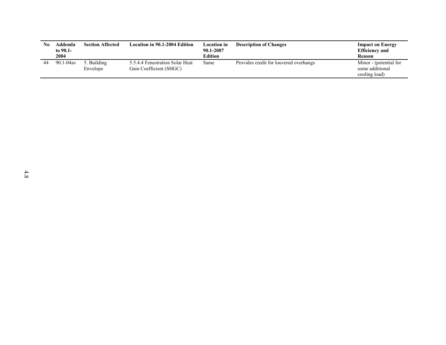| No | Addenda<br>to 90.1-<br>2004 | <b>Section Affected</b> | Location in 90.1-2004 Edition                              | <b>Location</b> in<br>90.1-2007<br>Edition | <b>Description of Changes</b>          | <b>Impact on Energy</b><br><b>Efficiency and</b><br>Reason |
|----|-----------------------------|-------------------------|------------------------------------------------------------|--------------------------------------------|----------------------------------------|------------------------------------------------------------|
| 44 | $90.1 - 04$ av              | 5. Building<br>Envelope | 5.5.4.4 Fenestration Solar Heat<br>Gain Coefficient (SHGC) | Same                                       | Provides credit for louvered overhangs | Minor - (potential for<br>some additional<br>cooling load) |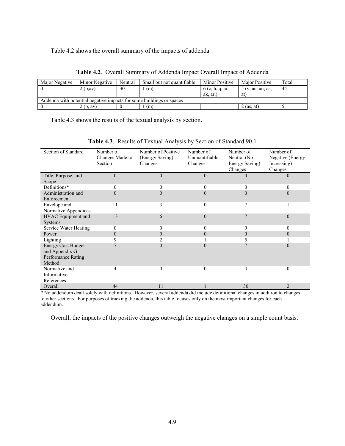<span id="page-28-0"></span>Table 4.2 shows the overall summary of the impacts of addenda.

| Maior Negative | Minor Negative | Neutral | Small but not quantifiable                                           | <b>Minor Positive</b> | <b>Major Positive</b> | Total |
|----------------|----------------|---------|----------------------------------------------------------------------|-----------------------|-----------------------|-------|
|                | 2(p,av)        | 30      | (m)                                                                  | 6 (c, h, q, ai,       | 5(v, ac, an, as,      | 44    |
|                |                |         |                                                                      | ak, ar,               | at l                  |       |
|                |                |         | Addenda with potential negative impacts for some buildings or spaces |                       |                       |       |
|                | 2(p, av)       |         | (m)                                                                  |                       | $2$ (as, at)          |       |

**Table 4.2**. Overall Summary of Addenda Impact Overall Impact of Addenda

<span id="page-28-1"></span>Table 4.3 shows the results of the textual analysis by section.

| Section of Standard                  | Number of       | Number of Positive | Number of      | Number of      | Number of        |
|--------------------------------------|-----------------|--------------------|----------------|----------------|------------------|
|                                      | Changes Made to | (Energy Saving)    | Unquantifiable | Neutral (No    | Negative (Energy |
|                                      | Section         | Changes            | Changes        | Energy Saving) | Increasing)      |
|                                      |                 |                    |                | Changes        | Changes          |
| Title, Purpose, and                  | $\theta$        | $\theta$           | $\overline{0}$ | $\theta$       | $\theta$         |
| Scope                                |                 |                    |                |                |                  |
| Definitions*                         | 0               | $\Omega$           | 0              | $\Omega$       | $\theta$         |
| Administration and<br>Enforcement    | $\Omega$        | $\Omega$           | $\Omega$       | $\Omega$       | $\Omega$         |
| Envelope and<br>Normative Appendices | 11              | 3                  | $\theta$       | 7              |                  |
| HVAC Equipment and<br>Systems        | 13              | 6                  | $\Omega$       |                | $\theta$         |
| Service Water Heating                | $\theta$        | 0                  | $\theta$       | $\Omega$       | $\theta$         |
| Power                                | $\theta$        | $\theta$           | $\theta$       | $\Omega$       | $\theta$         |
| Lighting                             | 9               |                    |                |                |                  |
| <b>Energy Cost Budget</b>            | $\mathbf{r}$    | $\Omega$           | $\Omega$       |                | $\Omega$         |
| and Appendix G                       |                 |                    |                |                |                  |
| Performance Rating                   |                 |                    |                |                |                  |
| Method                               |                 |                    |                |                |                  |
| Normative and                        | 4               | $\theta$           | $\Omega$       | 4              | $\theta$         |
| Informative                          |                 |                    |                |                |                  |
| References                           |                 |                    |                |                |                  |
| Overall                              | 44              | 11                 |                | 30             | $\overline{2}$   |

**Table 4.3**. Results of Textual Analysis by Section of Standard 90.1

\* No addendum dealt solely with definitions. However, several addenda did include definitional changes in addition to changes to other sections. For purposes of tracking the addenda, this table focuses only on the most important changes for each addendum.

Overall, the impacts of the positive changes outweigh the negative changes on a simple count basis.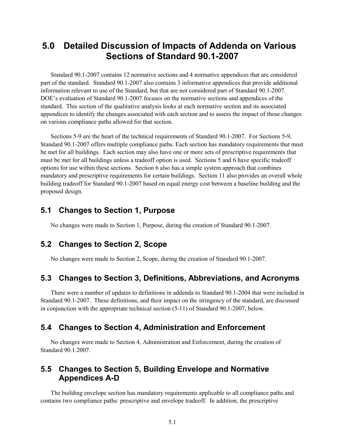# <span id="page-30-0"></span>**5.0 Detailed Discussion of Impacts of Addenda on Various Sections of Standard 90.1-2007**

Standard 90.1-2007 contains 12 normative sections and 4 normative appendices that are considered part of the standard. Standard 90.1-2007 also contains 3 informative appendices that provide additional information relevant to use of the Standard, but that are not considered part of Standard 90.1-2007. DOE's evaluation of Standard 90.1-2007 focuses on the normative sections and appendices of the standard. This section of the qualitative analysis looks at each normative section and its associated appendices to identify the changes associated with each section and to assess the impact of those changes on various compliance paths allowed for that section.

Sections 5-9 are the heart of the technical requirements of Standard 90.1-2007. For Sections 5-9, Standard 90.1-2007 offers multiple compliance paths. Each section has mandatory requirements that must be met for all buildings. Each section may also have one or more sets of prescriptive requirements that must be met for all buildings unless a tradeoff option is used. Sections 5 and 6 have specific tradeoff options for use within these sections. Section 6 also has a simple system approach that combines mandatory and prescriptive requirements for certain buildings. Section 11 also provides an overall whole building tradeoff for Standard 90.1-2007 based on equal energy cost between a baseline building and the proposed design.

#### <span id="page-30-1"></span>**5.1 Changes to Section 1, Purpose**

No changes were made to Section 1, Purpose, during the creation of Standard 90.1-2007.

### <span id="page-30-2"></span>**5.2 Changes to Section 2, Scope**

No changes were made to Section 2, Scope, during the creation of Standard 90.1-2007.

### <span id="page-30-3"></span>**5.3 Changes to Section 3, Definitions, Abbreviations, and Acronyms**

There were a number of updates to definitions in addenda to Standard 90.1-2004 that were included in Standard 90.1-2007. These definitions, and their impact on the stringency of the standard, are discussed in conjunction with the appropriate technical section (5-11) of Standard 90.1-2007, below.

### <span id="page-30-4"></span>**5.4 Changes to Section 4, Administration and Enforcement**

No changes were made to Section 4, Administration and Enforcement, during the creation of Standard 90.1.2007.

### <span id="page-30-5"></span>**5.5 Changes to Section 5, Building Envelope and Normative Appendices A-D**

The building envelope section has mandatory requirements applicable to all compliance paths and contains two compliance paths: prescriptive and envelope tradeoff. In addition, the prescriptive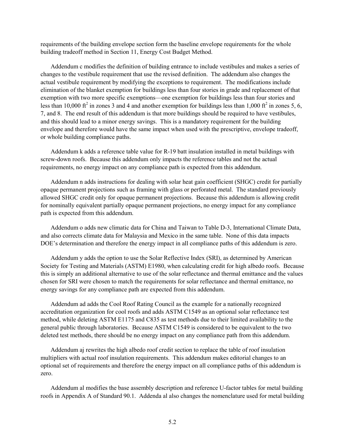requirements of the building envelope section form the baseline envelope requirements for the whole building tradeoff method in Section 11, Energy Cost Budget Method.

Addendum c modifies the definition of building entrance to include vestibules and makes a series of changes to the vestibule requirement that use the revised definition. The addendum also changes the actual vestibule requirement by modifying the exceptions to requirement. The modifications include elimination of the blanket exemption for buildings less than four stories in grade and replacement of that exemption with two more specific exemptions—one exemption for buildings less than four stories and less than 10,000 ft<sup>2</sup> in zones 3 and 4 and another exemption for buildings less than 1,000 ft<sup>2</sup> in zones 5, 6, 7, and 8. The end result of this addendum is that more buildings should be required to have vestibules, and this should lead to a minor energy savings. This is a mandatory requirement for the building envelope and therefore would have the same impact when used with the prescriptive, envelope tradeoff, or whole building compliance paths.

Addendum k adds a reference table value for R-19 batt insulation installed in metal buildings with screw-down roofs. Because this addendum only impacts the reference tables and not the actual requirements, no energy impact on any compliance path is expected from this addendum.

Addendum n adds instructions for dealing with solar heat gain coefficient (SHGC) credit for partially opaque permanent projections such as framing with glass or perforated metal. The standard previously allowed SHGC credit only for opaque permanent projections. Because this addendum is allowing credit for nominally equivalent partially opaque permanent projections, no energy impact for any compliance path is expected from this addendum.

Addendum o adds new climatic data for China and Taiwan to Table D-3, International Climate Data, and also corrects climate data for Malaysia and Mexico in the same table. None of this data impacts DOE's determination and therefore the energy impact in all compliance paths of this addendum is zero.

Addendum y adds the option to use the Solar Reflective Index (SRI), as determined by American Society for Testing and Materials (ASTM) E1980, when calculating credit for high albedo roofs. Because this is simply an additional alternative to use of the solar reflectance and thermal emittance and the values chosen for SRI were chosen to match the requirements for solar reflectance and thermal emittance, no energy savings for any compliance path are expected from this addendum.

Addendum ad adds the Cool Roof Rating Council as the example for a nationally recognized accreditation organization for cool roofs and adds ASTM C1549 as an optional solar reflectance test method, while deleting ASTM E1175 and C835 as test methods due to their limited availability to the general public through laboratories. Because ASTM C1549 is considered to be equivalent to the two deleted test methods, there should be no energy impact on any compliance path from this addendum.

Addendum aj rewrites the high albedo roof credit section to replace the table of roof insulation multipliers with actual roof insulation requirements. This addendum makes editorial changes to an optional set of requirements and therefore the energy impact on all compliance paths of this addendum is zero.

Addendum al modifies the base assembly description and reference U-factor tables for metal building roofs in Appendix A of Standard 90.1. Addenda al also changes the nomenclature used for metal building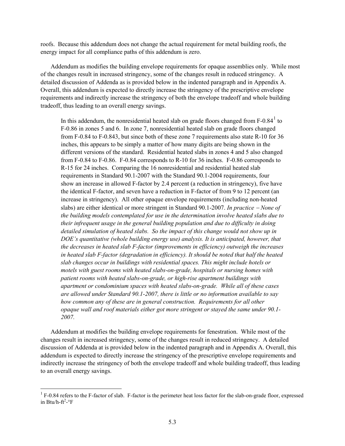roofs. Because this addendum does not change the actual requirement for metal building roofs, the energy impact for all compliance paths of this addendum is zero.

Addendum as modifies the building envelope requirements for opaque assemblies only. While most of the changes result in increased stringency, some of the changes result in reduced stringency. A detailed discussion of Addenda as is provided below in the indented paragraph and in Appendix A. Overall, this addendum is expected to directly increase the stringency of the prescriptive envelope requirements and indirectly increase the stringency of both the envelope tradeoff and whole building tradeoff, thus leading to an overall energy savings.

In this addendum, the nonresidential heated slab on grade floors changed from  $F-0.84<sup>1</sup>$  $F-0.84<sup>1</sup>$  $F-0.84<sup>1</sup>$  to F-0.86 in zones 5 and 6. In zone 7, nonresidential heated slab on grade floors changed from F-0.84 to F-0.843, but since both of these zone 7 requirements also state R-10 for 36 inches, this appears to be simply a matter of how many digits are being shown in the different versions of the standard. Residential heated slabs in zones 4 and 5 also changed from F-0.84 to F-0.86. F-0.84 corresponds to R-10 for 36 inches. F-0.86 corresponds to R-15 for 24 inches. Comparing the 16 nonresidential and residential heated slab requirements in Standard 90.1-2007 with the Standard 90.1-2004 requirements, four show an increase in allowed F-factor by 2.4 percent (a reduction in stringency), five have the identical F-factor, and seven have a reduction in F-factor of from 9 to 12 percent (an increase in stringency). All other opaque envelope requirements (including non-heated slabs) are either identical or more stringent in Standard 90.1-2007. *In practice* <sup>−</sup> *None of the building models contemplated for use in the determination involve heated slabs due to their infrequent usage in the general building population and due to difficulty in doing detailed simulation of heated slabs. So the impact of this change would not show up in DOE's quantitative (whole building energy use) analysis. It is anticipated, however, that the decreases in heated slab F-factor (improvements in efficiency) outweigh the increases in heated slab F-factor (degradation in efficiency). It should be noted that half the heated slab changes occur in buildings with residential spaces. This might include hotels or motels with guest rooms with heated slabs-on-grade, hospitals or nursing homes with patient rooms with heated slabs-on-grade, or high-rise apartment buildings with apartment or condominium spaces with heated slabs-on-grade. While all of these cases are allowed under Standard 90.1-2007, there is little or no information available to say how common any of these are in general construction. Requirements for all other opaque wall and roof materials either got more stringent or stayed the same under 90.1- 2007.* 

Addendum at modifies the building envelope requirements for fenestration. While most of the changes result in increased stringency, some of the changes result in reduced stringency. A detailed discussion of Addenda at is provided below in the indented paragraph and in Appendix A. Overall, this addendum is expected to directly increase the stringency of the prescriptive envelope requirements and indirectly increase the stringency of both the envelope tradeoff and whole building tradeoff, thus leading to an overall energy savings.

<span id="page-32-0"></span> $1 F-0.84$  refers to the F-factor of slab. F-factor is the perimeter heat loss factor for the slab-on-grade floor, expressed in Btu/h-ft<sup>2</sup>- $\rm{P}$ F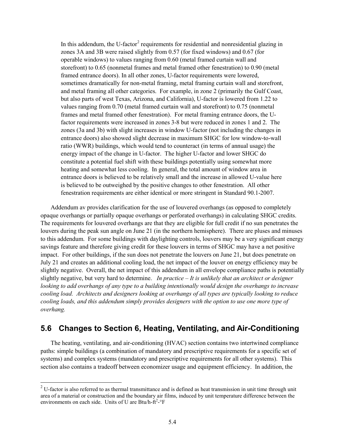In this addendum, the U-factor<sup>[2](#page-32-0)</sup> requirements for residential and nonresidential glazing in zones 3A and 3B were raised slightly from 0.57 (for fixed windows) and 0.67 (for operable windows) to values ranging from 0.60 (metal framed curtain wall and storefront) to 0.65 (nonmetal frames and metal framed other fenestration) to 0.90 (metal framed entrance doors). In all other zones, U-factor requirements were lowered, sometimes dramatically for non-metal framing, metal framing curtain wall and storefront, and metal framing all other categories. For example, in zone 2 (primarily the Gulf Coast, but also parts of west Texas, Arizona, and California), U-factor is lowered from 1.22 to values ranging from 0.70 (metal framed curtain wall and storefront) to 0.75 (nonmetal frames and metal framed other fenestration). For metal framing entrance doors, the Ufactor requirements were increased in zones 3-8 but were reduced in zones 1 and 2. The zones (3a and 3b) with slight increases in window U-factor (not including the changes in entrance doors) also showed slight decrease in maximum SHGC for low window-to-wall ratio (WWR) buildings, which would tend to counteract (in terms of annual usage) the energy impact of the change in U-factor. The higher U-factor and lower SHGC do constitute a potential fuel shift with these buildings potentially using somewhat more heating and somewhat less cooling. In general, the total amount of window area in entrance doors is believed to be relatively small and the increase in allowed U-value here is believed to be outweighed by the positive changes to other fenestration. All other fenestration requirements are either identical or more stringent in Standard 90.1-2007.

Addendum av provides clarification for the use of louvered overhangs (as opposed to completely opaque overhangs or partially opaque overhangs or perforated overhangs) in calculating SHGC credits. The requirements for louvered overhangs are that they are eligible for full credit if no sun penetrates the louvers during the peak sun angle on June 21 (in the northern hemisphere). There are pluses and minuses to this addendum. For some buildings with daylighting controls, louvers may be a very significant energy savings feature and therefore giving credit for these louvers in terms of SHGC may have a net positive impact. For other buildings, if the sun does not penetrate the louvers on June 21, but does penetrate on July 21 and creates an additional cooling load, the net impact of the louver on energy efficiency may be slightly negative. Overall, the net impact of this addendum in all envelope compliance paths is potentially slightly negative, but very hard to determine. *In practice – It is unlikely that an architect or designer looking to add overhangs of any type to a building intentionally would design the overhangs to increase cooling load. Architects and designers looking at overhangs of all types are typically looking to reduce cooling loads, and this addendum simply provides designers with the option to use one more type of overhang.*

## <span id="page-33-0"></span>**5.6 Changes to Section 6, Heating, Ventilating, and Air-Conditioning**

The heating, ventilating, and air-conditioning (HVAC) section contains two intertwined compliance paths: simple buildings (a combination of mandatory and prescriptive requirements for a specific set of systems) and complex systems (mandatory and prescriptive requirements for all other systems). This section also contains a tradeoff between economizer usage and equipment efficiency. In addition, the

 $2$  U-factor is also referred to as thermal transmittance and is defined as heat transmission in unit time through unit area of a material or construction and the boundary air films, induced by unit temperature difference between the environments on each side. Units of U are Btu/h- $ft^2$ - $°F$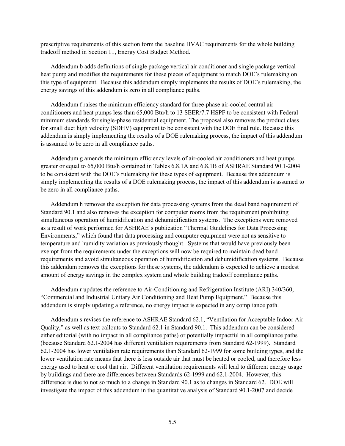prescriptive requirements of this section form the baseline HVAC requirements for the whole building tradeoff method in Section 11, Energy Cost Budget Method.

Addendum b adds definitions of single package vertical air conditioner and single package vertical heat pump and modifies the requirements for these pieces of equipment to match DOE's rulemaking on this type of equipment. Because this addendum simply implements the results of DOE's rulemaking, the energy savings of this addendum is zero in all compliance paths.

Addendum f raises the minimum efficiency standard for three-phase air-cooled central air conditioners and heat pumps less than 65,000 Btu/h to 13 SEER/7.7 HSPF to be consistent with Federal minimum standards for single-phase residential equipment. The proposal also removes the product class for small duct high velocity (SDHV) equipment to be consistent with the DOE final rule. Because this addendum is simply implementing the results of a DOE rulemaking process, the impact of this addendum is assumed to be zero in all compliance paths.

Addendum g amends the minimum efficiency levels of air-cooled air conditioners and heat pumps greater or equal to 65,000 Btu/h contained in Tables 6.8.1A and 6.8.1B of ASHRAE Standard 90.1-2004 to be consistent with the DOE's rulemaking for these types of equipment. Because this addendum is simply implementing the results of a DOE rulemaking process, the impact of this addendum is assumed to be zero in all compliance paths.

Addendum h removes the exception for data processing systems from the dead band requirement of Standard 90.1 and also removes the exception for computer rooms from the requirement prohibiting simultaneous operation of humidification and dehumidification systems. The exceptions were removed as a result of work performed for ASHRAE's publication "Thermal Guidelines for Data Processing Environments," which found that data processing and computer equipment were not as sensitive to temperature and humidity variation as previously thought. Systems that would have previously been exempt from the requirements under the exceptions will now be required to maintain dead band requirements and avoid simultaneous operation of humidification and dehumidification systems. Because this addendum removes the exceptions for these systems, the addendum is expected to achieve a modest amount of energy savings in the complex system and whole building tradeoff compliance paths.

Addendum r updates the reference to Air-Conditioning and Refrigeration Institute (ARI) 340/360, "Commercial and Industrial Unitary Air Conditioning and Heat Pump Equipment." Because this addendum is simply updating a reference, no energy impact is expected in any compliance path.

Addendum s revises the reference to ASHRAE Standard 62.1, "Ventilation for Acceptable Indoor Air Quality," as well as text callouts to Standard 62.1 in Standard 90.1. This addendum can be considered either editorial (with no impact in all compliance paths) or potentially impactful in all compliance paths (because Standard 62.1-2004 has different ventilation requirements from Standard 62-1999). Standard 62.1-2004 has lower ventilation rate requirements than Standard 62-1999 for some building types, and the lower ventilation rate means that there is less outside air that must be heated or cooled, and therefore less energy used to heat or cool that air. Different ventilation requirements will lead to different energy usage by buildings and there are differences between Standards 62-1999 and 62.1-2004. However, this difference is due to not so much to a change in Standard 90.1 as to changes in Standard 62. DOE will investigate the impact of this addendum in the quantitative analysis of Standard 90.1-2007 and decide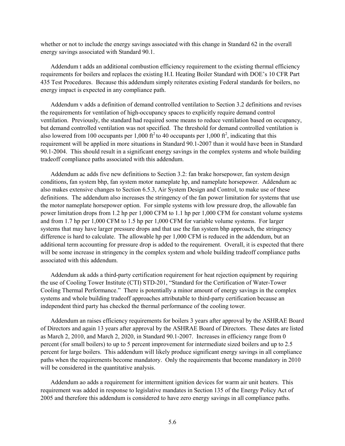whether or not to include the energy savings associated with this change in Standard 62 in the overall energy savings associated with Standard 90.1.

Addendum t adds an additional combustion efficiency requirement to the existing thermal efficiency requirements for boilers and replaces the existing H.I. Heating Boiler Standard with DOE's 10 CFR Part 435 Test Procedures. Because this addendum simply reiterates existing Federal standards for boilers, no energy impact is expected in any compliance path.

Addendum v adds a definition of demand controlled ventilation to Section 3.2 definitions and revises the requirements for ventilation of high-occupancy spaces to explicitly require demand control ventilation. Previously, the standard had required some means to reduce ventilation based on occupancy, but demand controlled ventilation was not specified. The threshold for demand controlled ventilation is also lowered from 100 occupants per 1,000 ft<sup>2</sup> to 40 occupants per 1,000 ft<sup>2</sup>, indicating that this requirement will be applied in more situations in Standard 90.1-2007 than it would have been in Standard 90.1-2004. This should result in a significant energy savings in the complex systems and whole building tradeoff compliance paths associated with this addendum.

Addendum ac adds five new definitions to Section 3.2: fan brake horsepower, fan system design conditions, fan system bhp, fan system motor nameplate hp, and nameplate horsepower. Addendum ac also makes extensive changes to Section 6.5.3, Air System Design and Control, to make use of these definitions. The addendum also increases the stringency of the fan power limitation for systems that use the motor nameplate horsepower option. For simple systems with low pressure drop, the allowable fan power limitation drops from 1.2 hp per 1,000 CFM to 1.1 hp per 1,000 CFM for constant volume systems and from 1.7 hp per 1,000 CFM to 1.5 hp per 1,000 CFM for variable volume systems. For larger systems that may have larger pressure drops and that use the fan system bhp approach, the stringency difference is hard to calculate. The allowable hp per 1,000 CFM is reduced in the addendum, but an additional term accounting for pressure drop is added to the requirement. Overall, it is expected that there will be some increase in stringency in the complex system and whole building tradeoff compliance paths associated with this addendum.

Addendum ak adds a third-party certification requirement for heat rejection equipment by requiring the use of Cooling Tower Institute (CTI) STD-201, "Standard for the Certification of Water-Tower Cooling Thermal Performance." There is potentially a minor amount of energy savings in the complex systems and whole building tradeoff approaches attributable to third-party certification because an independent third party has checked the thermal performance of the cooling tower.

Addendum an raises efficiency requirements for boilers 3 years after approval by the ASHRAE Board of Directors and again 13 years after approval by the ASHRAE Board of Directors. These dates are listed as March 2, 2010, and March 2, 2020, in Standard 90.1-2007. Increases in efficiency range from 0 percent (for small boilers) to up to 5 percent improvement for intermediate sized boilers and up to 2.5 percent for large boilers. This addendum will likely produce significant energy savings in all compliance paths when the requirements become mandatory. Only the requirements that become mandatory in 2010 will be considered in the quantitative analysis.

Addendum ao adds a requirement for intermittent ignition devices for warm air unit heaters. This requirement was added in response to legislative mandates in Section 135 of the Energy Policy Act of 2005 and therefore this addendum is considered to have zero energy savings in all compliance paths.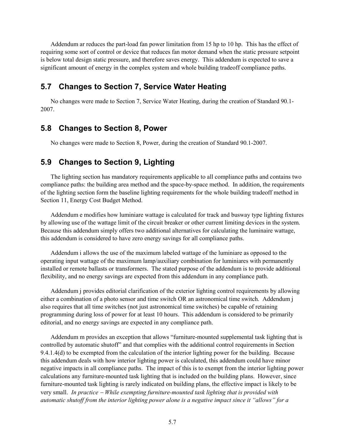Addendum ar reduces the part-load fan power limitation from 15 hp to 10 hp. This has the effect of requiring some sort of control or device that reduces fan motor demand when the static pressure setpoint is below total design static pressure, and therefore saves energy. This addendum is expected to save a significant amount of energy in the complex system and whole building tradeoff compliance paths.

### <span id="page-36-0"></span>**5.7 Changes to Section 7, Service Water Heating**

No changes were made to Section 7, Service Water Heating, during the creation of Standard 90.1- 2007.

### <span id="page-36-1"></span>**5.8 Changes to Section 8, Power**

No changes were made to Section 8, Power, during the creation of Standard 90.1-2007.

# <span id="page-36-2"></span>**5.9 Changes to Section 9, Lighting**

The lighting section has mandatory requirements applicable to all compliance paths and contains two compliance paths: the building area method and the space-by-space method. In addition, the requirements of the lighting section form the baseline lighting requirements for the whole building tradeoff method in Section 11, Energy Cost Budget Method.

Addendum e modifies how luminiare wattage is calculated for track and busway type lighting fixtures by allowing use of the wattage limit of the circuit breaker or other current limiting devices in the system. Because this addendum simply offers two additional alternatives for calculating the luminaire wattage, this addendum is considered to have zero energy savings for all compliance paths.

Addendum i allows the use of the maximum labeled wattage of the luminiare as opposed to the operating input wattage of the maximum lamp/auxiliary combination for luminiares with permanently installed or remote ballasts or transformers. The stated purpose of the addendum is to provide additional flexibility, and no energy savings are expected from this addendum in any compliance path.

Addendum j provides editorial clarification of the exterior lighting control requirements by allowing either a combination of a photo sensor and time switch OR an astronomical time switch. Addendum j also requires that all time switches (not just astronomical time switches) be capable of retaining programming during loss of power for at least 10 hours. This addendum is considered to be primarily editorial, and no energy savings are expected in any compliance path.

Addendum m provides an exception that allows "furniture-mounted supplemental task lighting that is controlled by automatic shutoff" and that complies with the additional control requirements in Section 9.4.1.4(d) to be exempted from the calculation of the interior lighting power for the building. Because this addendum deals with how interior lighting power is calculated, this addendum could have minor negative impacts in all compliance paths. The impact of this is to exempt from the interior lighting power calculations any furniture-mounted task lighting that is included on the building plans. However, since furniture-mounted task lighting is rarely indicated on building plans, the effective impact is likely to be very small. *In practice* <sup>−</sup> *While exempting furniture-mounted task lighting that is provided with automatic shutoff from the interior lighting power alone is a negative impact since it "allows" for a*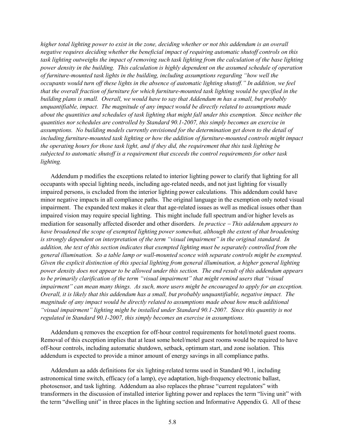*higher total lighting power to exist in the zone, deciding whether or not this addendum is an overall negative requires deciding whether the beneficial impact of requiring automatic shutoff controls on this task lighting outweighs the impact of removing such task lighting from the calculation of the base lighting power density in the building. This calculation is highly dependent on the assumed schedule of operation of furniture-mounted task lights in the building, including assumptions regarding "how well the occupants would turn off these lights in the absence of automatic lighting shutoff." In addition, we feel that the overall fraction of furniture for which furniture-mounted task lighting would be specified in the building plans is small. Overall, we would have to say that Addendum m has a small, but probably unquantifiable, impact. The magnitude of any impact would be directly related to assumptions made about the quantities and schedules of task lighting that might fall under this exemption. Since neither the quantities nor schedules are controlled by Standard 90.1-2007, this simply becomes an exercise in assumptions. No building models currently envisioned for the determination get down to the detail of including furniture-mounted task lighting or how the addition of furniture-mounted controls might impact the operating hours for those task light, and if they did, the requirement that this task lighting be subjected to automatic shutoff is a requirement that exceeds the control requirements for other task lighting.* 

Addendum p modifies the exceptions related to interior lighting power to clarify that lighting for all occupants with special lighting needs, including age-related needs, and not just lighting for visually impaired persons, is excluded from the interior lighting power calculations. This addendum could have minor negative impacts in all compliance paths. The original language in the exemption only noted visual impairment. The expanded text makes it clear that age-related issues as well as medical issues other than impaired vision may require special lighting. This might include full spectrum and/or higher levels as mediation for seasonally affected disorder and other disorders. *In practice* <sup>−</sup> *This addendum appears to have broadened the scope of exempted lighting power somewhat, although the extent of that broadening is strongly dependent on interpretation of the term "visual impairment" in the original standard. In addition, the text of this section indicates that exempted lighting must be separately controlled from the general illumination. So a table lamp or wall-mounted sconce with separate controls might be exempted. Given the explicit distinction of this special lighting from general illumination, a higher general lighting power density does not appear to be allowed under this section. The end result of this addendum appears to be primarily clarification of the term "visual impairment" that might remind users that "visual impairment" can mean many things. As such, more users might be encouraged to apply for an exception. Overall, it is likely that this addendum has a small, but probably unquantifiable, negative impact. The magnitude of any impact would be directly related to assumptions made about how much additional "visual impairment" lighting might be installed under Standard 90.1-2007. Since this quantity is not regulated in Standard 90.1-2007, this simply becomes an exercise in assumptions.* 

Addendum q removes the exception for off-hour control requirements for hotel/motel guest rooms. Removal of this exception implies that at least some hotel/motel guest rooms would be required to have off-hour controls, including automatic shutdown, setback, optimum start, and zone isolation. This addendum is expected to provide a minor amount of energy savings in all compliance paths.

Addendum aa adds definitions for six lighting-related terms used in Standard 90.1, including astronomical time switch, efficacy (of a lamp), eye adaptation, high-frequency electronic ballast, photosensor, and task lighting. Addendum aa also replaces the phrase "current regulators" with transformers in the discussion of installed interior lighting power and replaces the term "living unit" with the term "dwelling unit" in three places in the lighting section and Informative Appendix G. All of these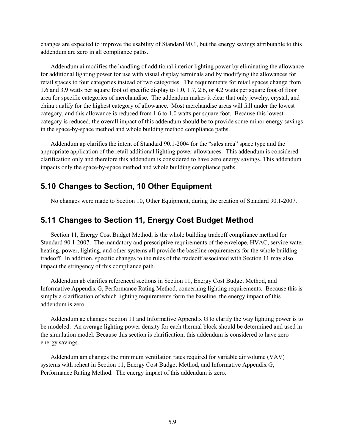changes are expected to improve the usability of Standard 90.1, but the energy savings attributable to this addendum are zero in all compliance paths.

Addendum ai modifies the handling of additional interior lighting power by eliminating the allowance for additional lighting power for use with visual display terminals and by modifying the allowances for retail spaces to four categories instead of two categories. The requirements for retail spaces change from 1.6 and 3.9 watts per square foot of specific display to 1.0, 1.7, 2.6, or 4.2 watts per square foot of floor area for specific categories of merchandise. The addendum makes it clear that only jewelry, crystal, and china qualify for the highest category of allowance. Most merchandise areas will fall under the lowest category, and this allowance is reduced from 1.6 to 1.0 watts per square foot. Because this lowest category is reduced, the overall impact of this addendum should be to provide some minor energy savings in the space-by-space method and whole building method compliance paths.

Addendum ap clarifies the intent of Standard 90.1-2004 for the "sales area" space type and the appropriate application of the retail additional lighting power allowances. This addendum is considered clarification only and therefore this addendum is considered to have zero energy savings. This addendum impacts only the space-by-space method and whole building compliance paths.

# <span id="page-38-0"></span>**5.10 Changes to Section, 10 Other Equipment**

No changes were made to Section 10, Other Equipment, during the creation of Standard 90.1-2007.

### <span id="page-38-1"></span>**5.11 Changes to Section 11, Energy Cost Budget Method**

Section 11, Energy Cost Budget Method, is the whole building tradeoff compliance method for Standard 90.1-2007. The mandatory and prescriptive requirements of the envelope, HVAC, service water heating, power, lighting, and other systems all provide the baseline requirements for the whole building tradeoff. In addition, specific changes to the rules of the tradeoff associated with Section 11 may also impact the stringency of this compliance path.

Addendum ab clarifies referenced sections in Section 11, Energy Cost Budget Method, and Informative Appendix G, Performance Rating Method, concerning lighting requirements. Because this is simply a clarification of which lighting requirements form the baseline, the energy impact of this addendum is zero.

Addendum ae changes Section 11 and Informative Appendix G to clarify the way lighting power is to be modeled. An average lighting power density for each thermal block should be determined and used in the simulation model. Because this section is clarification, this addendum is considered to have zero energy savings.

Addendum am changes the minimum ventilation rates required for variable air volume (VAV) systems with reheat in Section 11, Energy Cost Budget Method, and Informative Appendix G, Performance Rating Method. The energy impact of this addendum is zero.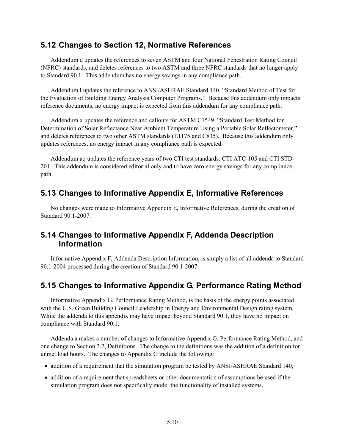### <span id="page-39-0"></span>**5.12 Changes to Section 12, Normative References**

Addendum d updates the references to seven ASTM and four National Fenestration Rating Council (NFRC) standards, and deletes references to two ASTM and three NFRC standards that no longer apply to Standard 90.1. This addendum has no energy savings in any compliance path.

Addendum l updates the reference to ANSI/ASHRAE Standard 140, "Standard Method of Test for the Evaluation of Building Energy Analysis Computer Programs." Because this addendum only impacts reference documents, no energy impact is expected from this addendum for any compliance path.

Addendum x updates the reference and callouts for ASTM C1549, "Standard Test Method for Determination of Solar Reflectance Near Ambient Temperature Using a Portable Solar Reflectometer," and deletes references to two other ASTM standards (E1175 and C835). Because this addendum only updates references, no energy impact in any compliance path is expected.

Addendum aq updates the reference years of two CTI test standards: CTI ATC-105 and CTI STD-201. This addendum is considered editorial only and to have zero energy savings for any compliance path.

# <span id="page-39-1"></span>**5.13 Changes to Informative Appendix E, Informative References**

No changes were made to Informative Appendix E, Informative References, during the creation of Standard 90.1-2007.

# <span id="page-39-2"></span>**5.14 Changes to Informative Appendix F, Addenda Description Information**

Informative Appendix F, Addenda Description Information, is simply a list of all addenda to Standard 90.1-2004 processed during the creation of Standard 90.1-2007.

# <span id="page-39-3"></span>**5.15 Changes to Informative Appendix G, Performance Rating Method**

Informative Appendix G, Performance Rating Method, is the basis of the energy points associated with the U.S. Green Building Council Leadership in Energy and Environmental Design rating system. While the addenda to this appendix may have impact beyond Standard 90.1, they have no impact on compliance with Standard 90.1.

Addenda a makes a number of changes to Informative Appendix G, Performance Rating Method, and one change to Section 3.2, Definitions. The change to the definitions was the addition of a definition for unmet load hours. The changes to Appendix G include the following:

- addition of a requirement that the simulation program be tested by ANSI/ASHRAE Standard 140,
- addition of a requirement that spreadsheets or other documentation of assumptions be used if the simulation program does not specifically model the functionality of installed systems,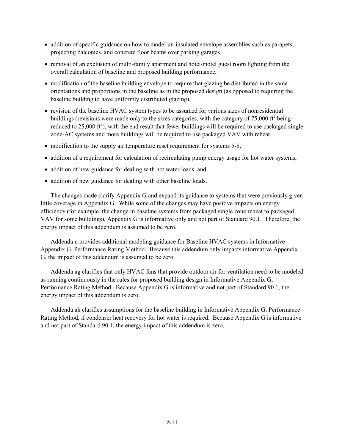- addition of specific guidance on how to model un-insulated envelope assemblies such as parapets, projecting balconies, and concrete floor beams over parking garages
- removal of an exclusion of multi-family apartment and hotel/motel guest room lighting from the overall calculation of baseline and proposed building performance,
- modification of the baseline building envelope to require that glazing be distributed in the same orientations and proportions in the baseline as in the proposed design (as opposed to requiring the baseline building to have uniformly distributed glazing),
- revision of the baseline HVAC system types to be assumed for various sizes of nonresidential buildings (revisions were made only to the sizes categories, with the category of 75,000  $\text{ft}^2$  being reduced to 25,000  $\text{ft}^2$ ), with the end result that fewer buildings will be required to use packaged single zone-AC systems and more buildings will be required to use packaged VAV with reheat,
- modification to the supply air temperature reset requirement for systems 5-8,
- addition of a requirement for calculation of recirculating pump energy usage for hot water systems,
- addition of new guidance for dealing with hot water loads, and
- addition of new guidance for dealing with other baseline loads.

The changes made clarify Appendix G and expand its guidance to systems that were previously given little coverage in Appendix G. While some of the changes may have positive impacts on energy efficiency (for example, the change in baseline systems from packaged single zone reheat to packaged VAV for some buildings), Appendix G is informative only and not part of Standard 90.1. Therefore, the energy impact of this addendum is assumed to be zero.

Addenda u provides additional modeling guidance for Baseline HVAC systems in Informative Appendix G, Performance Rating Method. Because this addendum only impacts informative Appendix G, the impact of this addendum is assumed to be zero.

Addenda ag clarifies that only HVAC fans that provide outdoor air for ventilation need to be modeled as running continuously in the rules for proposed building design in Informative Appendix G, Performance Rating Method. Because Appendix G is informative and not part of Standard 90.1, the energy impact of this addendum is zero.

Addenda ah clarifies assumptions for the baseline building in Informative Appendix G, Performance Rating Method, if condenser heat recovery for hot water is required. Because Appendix G is informative and not part of Standard 90.1, the energy impact of this addendum is zero.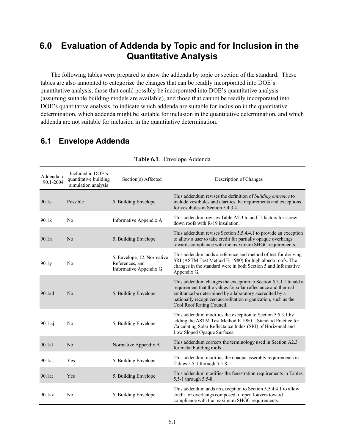# <span id="page-42-0"></span>**6.0 Evaluation of Addenda by Topic and for Inclusion in the Quantitative Analysis**

The following tables were prepared to show the addenda by topic or section of the standard. These tables are also annotated to categorize the changes that can be readily incorporated into DOE's quantitative analysis, those that could possibly be incorporated into DOE's quantitative analysis (assuming suitable building models are available), and those that cannot be readily incorporated into DOE's quantitative analysis, to indicate which addenda are suitable for inclusion in the quantitative determination, which addenda might be suitable for inclusion in the quantitative determination, and which addenda are not suitable for inclusion in the quantitative determination.

# <span id="page-42-2"></span><span id="page-42-1"></span>**6.1 Envelope Addenda**

| Addenda to<br>90.1-2004 | Included in DOE's<br>quantitative building<br>simulation analysis | Section(s) Affected                                                     | Description of Changes                                                                                                                                                                                                                                                                    |
|-------------------------|-------------------------------------------------------------------|-------------------------------------------------------------------------|-------------------------------------------------------------------------------------------------------------------------------------------------------------------------------------------------------------------------------------------------------------------------------------------|
| 90.1c                   | Possible                                                          | 5. Building Envelope                                                    | This addendum revises the definition of building entrance to<br>include vestibules and clarifies the requirements and exceptions<br>for vestibules in Section 5.4.3.4.                                                                                                                    |
| 90.1k                   | No                                                                | Informative Appendix A                                                  | This addendum revises Table A2.3 to add U-factors for screw-<br>down roofs with R-19 insulation.                                                                                                                                                                                          |
| 90.1n                   | N <sub>0</sub>                                                    | 5. Building Envelope                                                    | This addendum revises Section 5.5.4.4.1 to provide an exception<br>to allow a user to take credit for partially opaque overhangs<br>towards compliance with the maximum SHGC requirements.                                                                                                |
| 90.1y                   | No                                                                | 5. Envelope, 12. Normative<br>References, and<br>Informative Appendix G | This addendum adds a reference and method of test for deriving<br>SRI (ASTM Test Method E, 1980) for high albedo roofs. The<br>changes in the standard were in both Section 5 and Informative<br>Appendix G.                                                                              |
| 90.1ad                  | N <sub>0</sub>                                                    | 5. Building Envelope                                                    | This addendum changes the exception to Section 5.3.1.1 to add a<br>requirement that the values for solar reflectance and thermal<br>emittance be determined by a laboratory accredited by a<br>nationally recognized accreditation organization, such as the<br>Cool Roof Rating Council. |
| 90.1 aj                 | No                                                                | 5. Building Envelope                                                    | This addendum modifies the exception to Section 5.5.3.1 by<br>adding the ASTM Test Method E 1980-Standard Practice for<br>Calculating Solar Reflectance Index (SRI) of Horizontal and<br>Low Sloped Opaque Surfaces.                                                                      |
| 90.1al                  | No                                                                | Normative Appendix A                                                    | This addendum corrects the terminology used in Section A2.3<br>for metal building roofs.                                                                                                                                                                                                  |
| $90.1$ as               | Yes                                                               | 5. Building Envelope                                                    | This addendum modifies the opaque assembly requirements in<br>Tables 5.5-1 through 5.5-8.                                                                                                                                                                                                 |
| 90.1at                  | Yes                                                               | 5. Building Envelope                                                    | This addendum modifies the fenestration requirements in Tables<br>5.5-1 through 5.5-8.                                                                                                                                                                                                    |
| 90.1av                  | No                                                                | 5. Building Envelope                                                    | This addendum adds an exception to Section 5.5.4.4.1 to allow<br>credit for overhangs composed of open louvers toward<br>compliance with the maximum SHGC requirements.                                                                                                                   |

#### **Table 6.1**. Envelope Addenda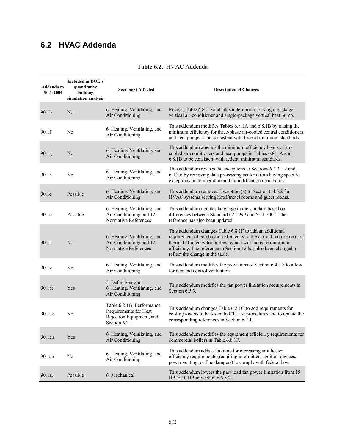# <span id="page-43-1"></span><span id="page-43-0"></span>**6.2 HVAC Addenda**

| <b>Included in DOE's</b><br>Addenda to<br>quantitative<br>90.1-2004<br>building<br>simulation analysis |                | <b>Section(s) Affected</b>                                                                      | <b>Description of Changes</b>                                                                                                                                                                                                                                                                        |
|--------------------------------------------------------------------------------------------------------|----------------|-------------------------------------------------------------------------------------------------|------------------------------------------------------------------------------------------------------------------------------------------------------------------------------------------------------------------------------------------------------------------------------------------------------|
| 90.1b                                                                                                  | No             | 6. Heating, Ventilating, and<br>Air Conditioning                                                | Revises Table 6.8.1D and adds a definition for single-package<br>vertical air-conditioner and single-package vertical heat pump.                                                                                                                                                                     |
| 90.1f                                                                                                  | N <sub>0</sub> | 6. Heating, Ventilating, and<br>Air Conditioning                                                | This addendum modifies Tables 6.8.1A and 6.8.1B by raising the<br>minimum efficiency for three-phase air-cooled central conditioners<br>and heat pumps to be consistent with federal minimum standards.                                                                                              |
| 90.1 <sub>g</sub>                                                                                      | No             | 6. Heating, Ventilating, and<br>Air Conditioning                                                | This addendum amends the minimum efficiency levels of air-<br>cooled air conditioners and heat pumps in Tables 6.8.1 A and<br>6.8.1B to be consistent with federal minimum standards.                                                                                                                |
| 90.1h                                                                                                  | N <sub>0</sub> | 6. Heating, Ventilating, and<br>Air Conditioning                                                | This addendum revises the exceptions to Sections 6.4.3.1.2 and<br>6.4.3.6 by removing data processing centers from having specific<br>exceptions on temperature and humidification dead bands.                                                                                                       |
| 90.1q                                                                                                  | Possible       | 6. Heating, Ventilating, and<br>Air Conditioning                                                | This addendum removes Exception (a) to Section 6.4.3.2 for<br>HVAC systems serving hotel/motel rooms and guest rooms.                                                                                                                                                                                |
| 90.1s                                                                                                  | Possible       | 6. Heating, Ventilating, and<br>Air Conditioning and 12.<br>Normative References                | This addendum updates language in the standard based on<br>differences between Standard 62-1999 and 62.1-2004. The<br>reference has also been updated.                                                                                                                                               |
| 90.1t                                                                                                  | N <sub>0</sub> | 6. Heating, Ventilating, and<br>Air Conditioning and 12.<br>Normative References                | This addendum changes Table 6.8.1F to add an additional<br>requirement of combustion efficiency to the current requirement of<br>thermal efficiency for boilers, which will increase minimum<br>efficiency. The reference in Section 12 has also been changed to<br>reflect the change in the table. |
| 90.1v                                                                                                  | N <sub>0</sub> | 6. Heating, Ventilating, and<br>Air Conditioning                                                | This addendum modifies the provisions of Section 6.4.3.8 to allow<br>for demand control ventilation.                                                                                                                                                                                                 |
| 90.1ac                                                                                                 | Yes            | 3. Definitions and<br>6. Heating, Ventilating, and<br>Air Conditioning                          | This addendum modifies the fan power limitation requirements in<br>Section $6.5.3$ .                                                                                                                                                                                                                 |
| 90.1ak                                                                                                 | N <sub>0</sub> | Table 6.2.1G, Performance<br>Requirements for Heat<br>Rejection Equipment, and<br>Section 6.2.1 | This addendum changes Table 6.2.1G to add requirements for<br>cooling towers to be tested to CTI test procedures and to update the<br>corresponding references in Section 6.2.1.                                                                                                                     |
| 90.1an                                                                                                 | Yes            | 6. Heating, Ventilating, and<br>Air Conditioning                                                | This addendum modifies the equipment efficiency requirements for<br>commercial boilers in Table 6.8.1F.                                                                                                                                                                                              |
| 90.1 <sub>ao</sub>                                                                                     | No             | 6. Heating, Ventilating, and<br>Air Conditioning                                                | This addendum adds a footnote for increasing unit heater<br>efficiency requirements (requiring intermittent ignition devices,<br>power venting, or flue dampers) to comply with federal law.                                                                                                         |
| 90.1ar                                                                                                 | Possible       | 6. Mechanical                                                                                   | This addendum lowers the part-load fan power limitation from 15<br>HP to 10 HP in Section $6.5.3.2.1$ .                                                                                                                                                                                              |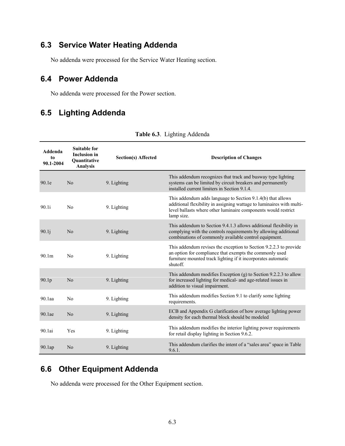# <span id="page-44-0"></span>**6.3 Service Water Heating Addenda**

No addenda were processed for the Service Water Heating section.

# <span id="page-44-1"></span>**6.4 Power Addenda**

No addenda were processed for the Power section.

# <span id="page-44-4"></span><span id="page-44-2"></span>**6.5 Lighting Addenda**

| Addenda<br>to<br>90.1-2004 | <b>Suitable for</b><br><b>Inclusion</b> in<br>Quantitative<br><b>Analysis</b> | <b>Section(s) Affected</b> | <b>Description of Changes</b>                                                                                                                                                                                        |
|----------------------------|-------------------------------------------------------------------------------|----------------------------|----------------------------------------------------------------------------------------------------------------------------------------------------------------------------------------------------------------------|
| 90.1e                      | N <sub>0</sub>                                                                | 9. Lighting                | This addendum recognizes that track and busway type lighting<br>systems can be limited by circuit breakers and permanently<br>installed current limiters in Section 9.1.4.                                           |
| 90.1i                      | N <sub>0</sub>                                                                | 9. Lighting                | This addendum adds language to Section 9.1.4(b) that allows<br>additional flexibility in assigning wattage to luminaires with multi-<br>level ballasts where other luminaire components would restrict<br>lamp size. |
| 90.1j                      | No                                                                            | 9. Lighting                | This addendum to Section 9.4.1.3 allows additional flexibility in<br>complying with the controls requirements by allowing additional<br>combinations of commonly available control equipment.                        |
| 90.1 <sub>m</sub>          | No                                                                            | 9. Lighting                | This addendum revises the exception to Section 9.2.2.3 to provide<br>an option for compliance that exempts the commonly used<br>furniture mounted track lighting if it incorporates automatic<br>shutoff.            |
| 90.1 <sub>p</sub>          | No                                                                            | 9. Lighting                | This addendum modifies Exception (g) to Section 9.2.2.3 to allow<br>for increased lighting for medical- and age-related issues in<br>addition to visual impairment.                                                  |
| 90.1aa                     | N <sub>0</sub>                                                                | 9. Lighting                | This addendum modifies Section 9.1 to clarify some lighting<br>requirements.                                                                                                                                         |
| 90.1ae                     | N <sub>o</sub>                                                                | 9. Lighting                | ECB and Appendix G clarification of how average lighting power<br>density for each thermal block should be modeled                                                                                                   |
| 90.1ai                     | Yes                                                                           | 9. Lighting                | This addendum modifies the interior lighting power requirements<br>for retail display lighting in Section 9.6.2.                                                                                                     |
| 90.1ap                     | No                                                                            | 9. Lighting                | This addendum clarifies the intent of a "sales area" space in Table<br>9.6.1.                                                                                                                                        |

| Table 6.3. Lighting Addenda |  |  |
|-----------------------------|--|--|
|-----------------------------|--|--|

# <span id="page-44-3"></span>**6.6 Other Equipment Addenda**

No addenda were processed for the Other Equipment section.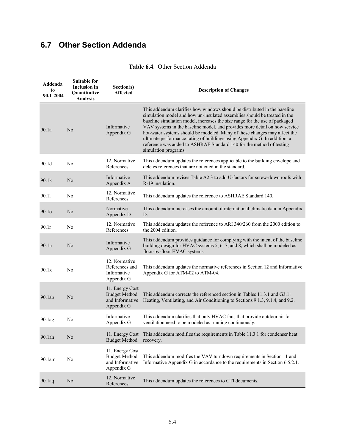# <span id="page-45-1"></span><span id="page-45-0"></span>**6.7 Other Section Addenda**

| Addenda<br>to<br>90.1-2004 | <b>Suitable for</b><br><b>Inclusion in</b><br><b>Ouantitative</b><br><b>Analysis</b> | Section(s)<br><b>Affected</b>                                            | <b>Description of Changes</b>                                                                                                                                                                                                                                                                                                                                                                                                                                                                                                                                                 |
|----------------------------|--------------------------------------------------------------------------------------|--------------------------------------------------------------------------|-------------------------------------------------------------------------------------------------------------------------------------------------------------------------------------------------------------------------------------------------------------------------------------------------------------------------------------------------------------------------------------------------------------------------------------------------------------------------------------------------------------------------------------------------------------------------------|
| 90.1a                      | N <sub>0</sub>                                                                       | Informative<br>Appendix G                                                | This addendum clarifies how windows should be distributed in the baseline<br>simulation model and how un-insulated assemblies should be treated in the<br>baseline simulation model, increases the size range for the use of packaged<br>VAV systems in the baseline model, and provides more detail on how service<br>hot-water systems should be modeled. Many of these changes may affect the<br>ultimate performance rating of buildings using Appendix G. In addition, a<br>reference was added to ASHRAE Standard 140 for the method of testing<br>simulation programs. |
| 90.1d                      | N <sub>0</sub>                                                                       | 12. Normative<br>References                                              | This addendum updates the references applicable to the building envelope and<br>deletes references that are not cited in the standard.                                                                                                                                                                                                                                                                                                                                                                                                                                        |
| 90.1k                      | N <sub>o</sub>                                                                       | Informative<br>Appendix A                                                | This addendum revises Table A2.3 to add U-factors for screw-down roofs with<br>R-19 insulation.                                                                                                                                                                                                                                                                                                                                                                                                                                                                               |
| 90.11                      | N <sub>0</sub>                                                                       | 12. Normative<br>References                                              | This addendum updates the reference to ASHRAE Standard 140.                                                                                                                                                                                                                                                                                                                                                                                                                                                                                                                   |
| 90.1 <sub>o</sub>          | N <sub>0</sub>                                                                       | Normative<br>Appendix D                                                  | This addendum increases the amount of international climatic data in Appendix<br>D.                                                                                                                                                                                                                                                                                                                                                                                                                                                                                           |
| 90.1r                      | N <sub>0</sub>                                                                       | 12. Normative<br>References                                              | This addendum updates the reference to ARI 340/260 from the 2000 edition to<br>the 2004 edition.                                                                                                                                                                                                                                                                                                                                                                                                                                                                              |
| 90.1u                      | N <sub>o</sub>                                                                       | Informative<br>Appendix G                                                | This addendum provides guidance for complying with the intent of the baseline<br>building design for HVAC systems 5, 6, 7, and 8, which shall be modeled as<br>floor-by-floor HVAC systems.                                                                                                                                                                                                                                                                                                                                                                                   |
| 90.1x                      | N <sub>0</sub>                                                                       | 12. Normative<br>References and<br>Informative<br>Appendix G             | This addendum updates the normative references in Section 12 and Informative<br>Appendix G for ATM-02 to ATM-04.                                                                                                                                                                                                                                                                                                                                                                                                                                                              |
| 90.1ab                     | No                                                                                   | 11. Energy Cost<br><b>Budget Method</b><br>and Informative<br>Appendix G | This addendum corrects the referenced section in Tables 11.3.1 and G3.1;<br>Heating, Ventilating, and Air Conditioning to Sections 9.1.3, 9.1.4, and 9.2.                                                                                                                                                                                                                                                                                                                                                                                                                     |
| 90.1ag                     | No                                                                                   | Informative<br>Appendix G                                                | This addendum clarifies that only HVAC fans that provide outdoor air for<br>ventilation need to be modeled as running continuously.                                                                                                                                                                                                                                                                                                                                                                                                                                           |
| 90.1ah                     | No                                                                                   | 11. Energy Cost<br><b>Budget Method</b>                                  | This addendum modifies the requirements in Table 11.3.1 for condenser heat<br>recovery.                                                                                                                                                                                                                                                                                                                                                                                                                                                                                       |
| 90.1am                     | No                                                                                   | 11. Energy Cost<br><b>Budget Method</b><br>and Informative<br>Appendix G | This addendum modifies the VAV turndown requirements in Section 11 and<br>Informative Appendix G in accordance to the requirements in Section 6.5.2.1.                                                                                                                                                                                                                                                                                                                                                                                                                        |
| 90.1aq                     | No                                                                                   | 12. Normative<br>References                                              | This addendum updates the references to CTI documents.                                                                                                                                                                                                                                                                                                                                                                                                                                                                                                                        |

#### **Table 6.4**. Other Section Addenda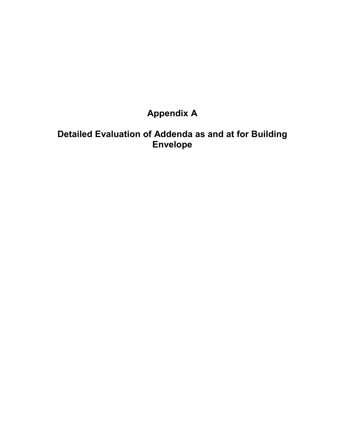# **Appendix A**

# <span id="page-46-0"></span>**Detailed Evaluation of Addenda as and at for Building Envelope**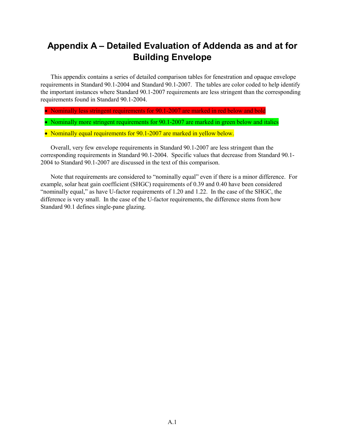# **Appendix A – Detailed Evaluation of Addenda as and at for Building Envelope**

This appendix contains a series of detailed comparison tables for fenestration and opaque envelope requirements in Standard 90.1-2004 and Standard 90.1-2007. The tables are color coded to help identify the important instances where Standard 90.1-2007 requirements are less stringent than the corresponding requirements found in Standard 90.1-2004.

- Nominally less stringent requirements for 90.1-2007 are marked in red below and bold
- Nominally more stringent requirements for 90.1-2007 are marked in green below and italics
- Nominally equal requirements for 90.1-2007 are marked in yellow below.

Overall, very few envelope requirements in Standard 90.1-2007 are less stringent than the corresponding requirements in Standard 90.1-2004. Specific values that decrease from Standard 90.1- 2004 to Standard 90.1-2007 are discussed in the text of this comparison.

Note that requirements are considered to "nominally equal" even if there is a minor difference. For example, solar heat gain coefficient (SHGC) requirements of 0.39 and 0.40 have been considered "nominally equal," as have U-factor requirements of 1.20 and 1.22. In the case of the SHGC, the difference is very small. In the case of the U-factor requirements, the difference stems from how Standard 90.1 defines single-pane glazing.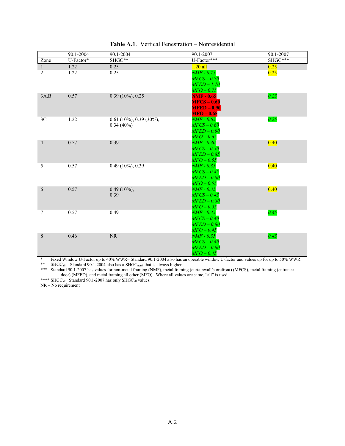|                | 90.1-2004 | 90.1-2004                                 | 90.1-2007                               | 90.1-2007 |
|----------------|-----------|-------------------------------------------|-----------------------------------------|-----------|
| Zone           | U-Factor* | SHGC**                                    | U-Factor***                             | SHGC***   |
| $\mathbf{1}$   | 1.22      | 0.25                                      | $1.20$ all                              | 0.25      |
| 2              | 1.22      | 0.25                                      | NMF - 0.75                              | 0.25      |
|                |           |                                           | $MFCS-0.70$                             |           |
|                |           |                                           | $M\bar{F}ED-1.10$                       |           |
|                |           |                                           | $MFO-0.75$                              |           |
| 3A,B           | 0.57      | $0.39(10\%)$ , 0.25                       | <b>NMF - 0.65</b>                       | 0.25      |
|                |           |                                           | $MFCS - 0.60$                           |           |
|                |           |                                           | <b>MFED - 0.90</b>                      |           |
|                |           |                                           | $MFO - 0.65$                            |           |
| 3C             | 1.22      | $0.61$ (10%), 0.39 (30%),<br>$0.34(40\%)$ | NMF - 0.65<br>$MFCS-0.60$               | 0.25      |
|                |           |                                           | $M\bar{F}ED-0.90$                       |           |
|                |           |                                           | $MFO-0.65$                              |           |
| $\overline{4}$ | 0.57      | 0.39                                      | $N\!M\!F$ - $0.40^\dagger$              | 0.40      |
|                |           |                                           | $MFCS-0.50$                             |           |
|                |           |                                           | $M\bar{F}ED-0.85$                       |           |
|                |           |                                           | $MFO-0.55$                              |           |
| 5              | 0.57      | $0.49(10\%)$ , 0.39                       | $NMF - 0.35$                            | 0.40      |
|                |           |                                           | $MFCS - 0.45$                           |           |
|                |           |                                           | $M\bar{F}ED-0.80$                       |           |
|                |           |                                           | $M\ddot{F}O-0.55$                       |           |
| 6              | 0.57      | $0.49(10\%)$ ,                            | $\emph{NMF}-0.35$                       | 0.40      |
|                |           | 0.39                                      | $MFCS - 0.45$                           |           |
|                |           |                                           | $M\bar{F}ED-0.80$                       |           |
|                |           |                                           | $MFO-0.55$                              |           |
| 7              | 0.57      | 0.49                                      | $NMF - 0.35$                            | 0.45      |
|                |           |                                           | $MFCS-0.40$                             |           |
|                |           |                                           | $M\!E\!D-0.80$                          |           |
| 8              | 0.46      | NR                                        | $MFO-0.45$<br>$\overline{NMF}$ - $0.35$ | 0.45      |
|                |           |                                           | $MFCS-0.40$                             |           |
|                |           |                                           | $M\bar{F}ED-0.80$                       |           |
|                |           |                                           | $MFO-0.45$                              |           |

#### **Table A.1**. Vertical Fenestration – Nonresidential

\* Fixed Window U-Factor up to 40% WWR– Standard 90.1-2004 also has an operable window U-factor and values up for up to 50% WWR. \*\* SHGC<sub>all</sub> – Standard 90.1-2004 also has a SHGC<sub>north</sub> that is always higher.

\*\*\* Standard 90.1-2007 has values for non-metal framing (NMF), metal framing (curtainwall/storefront) (MFCS), metal framing (entrance door) (MFED), and metal framing all other (MFO). Where all values are same, "all" is used.

\*\*\*\* SHGC<sub>all</sub>. Standard 90.1-2007 has only SHGC<sub>all</sub> values.

NR – No requirement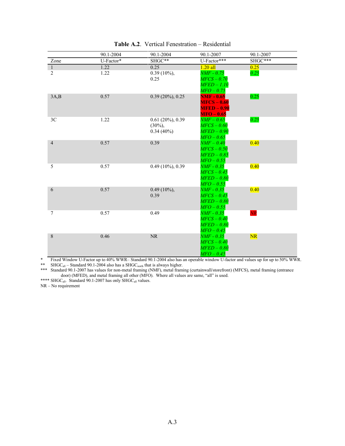|                | 90.1-2004 | 90.1-2004           | 90.1-2007                  | 90.1-2007                |
|----------------|-----------|---------------------|----------------------------|--------------------------|
| Zone           | U-Factor* | SHGC**              | U-Factor***                | SHGC***                  |
| $\mathbf{1}$   | 1.22      | 0.25                | $1.20$ all                 | 0.25                     |
| $\overline{2}$ | 1.22      | $0.39(10\%),$       | NMF - 0.75                 | 0.25                     |
|                |           | 0.25                | $MFCS-0.70$                |                          |
|                |           |                     | $M\bar{F}ED-1.10$          |                          |
|                |           |                     | $MFO-0.75$                 |                          |
| 3A,B           | 0.57      | $0.39(20\%)$ , 0.25 | <b>NMF</b> - 0.65          | 0.25                     |
|                |           |                     | $MFCS - 0.60$              |                          |
|                |           |                     | <b>MFED - 0.90</b>         |                          |
|                |           |                     | $MFO - 0.65$               |                          |
| 3C             | 1.22      | $0.61(20\%)$ , 0.39 | $\mathit{NMF}-0.65$        | 0.25                     |
|                |           | $(30\%)$ ,          | $MFCS-0.60$                |                          |
|                |           | $0.34(40\%)$        | $M\!E\!D-0.90$             |                          |
|                |           |                     | $MFO-0.65$                 |                          |
| $\overline{4}$ | 0.57      | 0.39                | $NMF-0.40$                 | 0.40                     |
|                |           |                     | $MFCS-0.50$                |                          |
|                |           |                     | $M\bar{F}ED-0.85$          |                          |
|                |           |                     | $M\!F\!O-0.55$             |                          |
| 5              | 0.57      | $0.49(10\%)$ , 0.39 | NMF - 0.35                 | 0.40                     |
|                |           |                     | MFCS – 0.45                |                          |
|                |           |                     | $M\!E\!D-0.80$             |                          |
|                |           |                     | $MFO-0.55$                 |                          |
| 6              | 0.57      | $0.49(10\%)$        | $\emph{NMF}-0.35$          | 0.40                     |
|                |           | 0.39                | $MFCS - 0.45$              |                          |
|                |           |                     | $M\bar{F}ED-0.80$          |                          |
| 7              |           | 0.49                | $MFO-0.55$<br>$NMF - 0.35$ |                          |
|                | 0.57      |                     | $MFCS-0.40$                | $\overline{\textit{NR}}$ |
|                |           |                     | $M\!E\!D-0.80$             |                          |
|                |           |                     | $MFO-0.45$                 |                          |
| $\,$ 8 $\,$    | 0.46      | NR                  | $NMF - 0.35$               | NR                       |
|                |           |                     | $MFCS-0.40$                |                          |
|                |           |                     | $M\bar{F}ED-0.80$          |                          |
|                |           |                     | $MFO-0.45$                 |                          |

#### **Table A.2**. Vertical Fenestration – Residential

\* Fixed Window U-Factor up to 40% WWR– Standard 90.1-2004 also has an operable window U-factor and values up for up to 50% WWR.

\*\* SHGC<sub>all</sub> – Standard 90.1-2004 also has a SHGC<sub>north</sub> that is always higher.

\*\*\* Standard 90.1-2007 has values for non-metal framing (NMF), metal framing (curtainwall/storefront) (MFCS), metal framing (entrance door) (MFED), and metal framing all other (MFO). Where all values are same, "all" is used.

\*\*\*\* SHGC<sub>all</sub>. Standard 90.1-2007 has only SHGC<sub>all</sub> values. NR – No requirement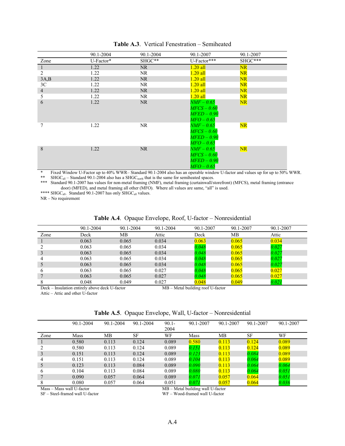|                | 90.1-2004   | 90.1-2004 | 90.1-2007           | 90.1-2007 |
|----------------|-------------|-----------|---------------------|-----------|
| Zone           | $U-Factor*$ | SHGC**    | U-Factor***         | SHGC***   |
| $\perp$        | 1.22        | NR.       | $1.20$ all          | NR        |
| 2              | 1.22        | NR.       | 1.20 all            | NR        |
| 3A,B           | 1.22        | NR.       | $1.20$ all          | NR        |
| 3 <sup>C</sup> | 1.22        | NR.       | $1.20$ all          | NR        |
| $\overline{4}$ | 1.22        | NR.       | $1.20$ all          | NR        |
| 5              | 1.22        | NR.       | $1.20$ all          | NR        |
| 6              | 1.22        | NR.       | $NMF-0.65$          | NR        |
|                |             |           | $MFCS-0.60$         |           |
|                |             |           | $M\!E\!D-0.90$      |           |
|                |             |           | $MFO-0.65$          |           |
|                | 1.22        | <b>NR</b> | $\mathit{NMF}-0.65$ | NR        |
|                |             |           | $MFCS-0.60$         |           |
|                |             |           | $M\!E\!D-0.90$      |           |
|                |             |           | $MFO-0.65$          |           |
| 8              | 1.22        | <b>NR</b> | $NMF-0.65$          | NR        |
|                |             |           | $MFCS-0.60$         |           |
|                |             |           | $M\!E\!D-0.90$      |           |
|                |             |           | $MFO-0.65$          |           |

**Table A.3**. Vertical Fenestration – Semiheated

Fixed Window U-Factor up to 40% WWR– Standard 90.1-2004 also has an operable window U-factor and values up for up to 50% WWR. \*\* SHGC<sub>all</sub> – Standard 90.1-2004 also has a SHGC<sub>north</sub> that is the same for semiheated spaces.

\*\*\* Standard 90.1-2007 has values for non-metal framing (NMF), metal framing (curtainwall/storefront) (MFCS), metal framing (entrance door) (MFED), and metal framing all other (MFO). Where all values are same, "all" is used.

\*\*\*\* SHGC<sub>all</sub>. Standard 90.1-2007 has only SHGC<sub>all</sub> values.

NR – No requirement

|  |  |  |  |  | Table A.4. Opaque Envelope, Roof, U-factor - Nonresidential |
|--|--|--|--|--|-------------------------------------------------------------|
|--|--|--|--|--|-------------------------------------------------------------|

|      | 90.1-2004 | 90.1-2004 | $90.1 - 2004$ | 90.1-2007 | 90.1-2007 | 90.1-2007 |
|------|-----------|-----------|---------------|-----------|-----------|-----------|
| Zone | Deck      | MВ        | Attic         | Deck      | MВ        | Attic     |
|      | 0.063     | 0.065     | 0.034         | 0.063     | 0.065     | 0.034     |
|      | 0.063     | 0.065     | 0.034         | 0.048     | 0.065     | 0.027     |
|      | 0.063     | 0.065     | 0.034         | 0.048     | 0.065     | 0.027     |
|      | 0.063     | 0.065     | 0.034         | 0.048     | 0.065     | 0.027     |
|      | 0.063     | 0.065     | 0.034         | 0.048     | 0.065     | 0.027     |
|      | 0.063     | 0.065     | 0.027         | 0.048     | 0.065     | 0.027     |
|      | 0.063     | 0.065     | 0.027         | 0.048     | 0.065     | 0.027     |
|      | 0.048     | 0.049     | 0.027         | 0.048     | 0.049     | 0.021     |

Deck – Insulation entirely above deck U-factor MB – Metal building roof U-factor

Attic – Attic and other U-factor

| Table A.5. Opaque Envelope, Wall, U-factor - Nonresidential |  |  |  |  |
|-------------------------------------------------------------|--|--|--|--|
|-------------------------------------------------------------|--|--|--|--|

|      | 90.1-2004 | 90.1-2004 | 90.1-2004 | $90.1 -$<br>2004 | 90.1-2007 | 90.1-2007 | 90.1-2007 | 90.1-2007 |
|------|-----------|-----------|-----------|------------------|-----------|-----------|-----------|-----------|
| Zone | Mass      | MВ        | SF        | WF               | Mass      | MВ        | SF        | WF        |
|      | 0.580     | 0.113     | 0.124     | 0.089            | 0.580     | 0.113     | 0.124     | 0.089     |
|      | 0.580     | 0.113     | 0.124     | 0.089            | 0.151     | 0.113     | 0.124     | 0.089     |
|      | 0.151     | 0.113     | 0.124     | 0.089            | 0.123     | 0.113     | 0.084     | 0.089     |
| 4    | 0.151     | 0.113     | 0.124     | 0.089            | 0.104     | 0.113     | 0.064     | 0.089     |
| 5    | 0.123     | 0.113     | 0.084     | 0.089            | 0.090     | 0.113     | 0.064     | 0.064     |
| 6    | 0.104     | 0.113     | 0.084     | 0.089            | 0.080     | 0.113     | 0.064     | 0.051     |
|      | 0.090     | 0.057     | 0.064     | 0.089            | 0.071     | 0.057     | 0.064     | 0.051     |
|      | 0.080     | 0.057     | 0.064     | 0.051            | 0.071     | 0.057     | 0.064     | 0.036     |

Mass – Mass wall U-factor MB – Metal building wall U-factor MB – Metal building wall U-factor SF – Steel-framed wall U-factor MF – Wood-framed wall U-factor WF – Wood-framed wall U-factor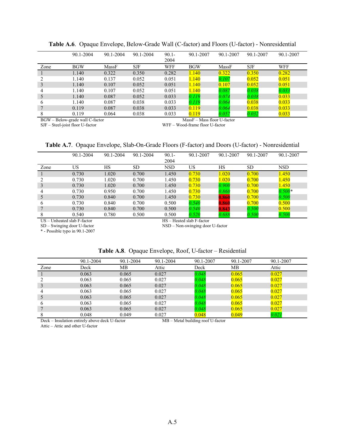|                               | 90.1-2004                                    | 90.1-2004 | 90.1-2004  | $90.1 -$<br>2004 | 90.1-2007                                           | 90.1-2007 | 90.1-2007 | 90.1-2007  |
|-------------------------------|----------------------------------------------|-----------|------------|------------------|-----------------------------------------------------|-----------|-----------|------------|
| Zone                          | <b>BGW</b>                                   | MassF     | <b>SJF</b> | WFF              | <b>BGW</b>                                          | MassF     | SJF       | <b>WFF</b> |
|                               | 1.140                                        | 0.322     | 0.350      | 0.282            | 1.140                                               | 0.322     | 0.350     | 0.282      |
|                               | 1.140                                        | 0.137     | 0.052      | 0.051            | 1.140                                               | 0.107     | 0.052     | 0.051      |
|                               | 1.140                                        | 0.107     | 0.052      | 0.051            | 1.140                                               | 0.107     | 0.052     | 0.051      |
|                               | 1.140                                        | 0.107     | 0.052      | 0.051            | 1.140                                               | 0.087     | 0.038     | 0.033      |
|                               | 1.140                                        | 0.087     | 0.052      | 0.033            | 0.119                                               | 0.074     | 0.038     | 0.033      |
| 6                             | 1.140                                        | 0.087     | 0.038      | 0.033            | 0.119                                               | 0.064     | 0.038     | 0.033      |
|                               | 0.119                                        | 0.087     | 0.038      | 0.033            | 0.119                                               | 0.064     | 0.038     | 0.033      |
|                               | 0.119                                        | 0.064     | 0.038      | 0.033            | 0.119                                               | 0.057     | 0.032     | 0.033      |
| <b>DOUL</b><br>$\mathbf{D}$ 1 | $\mathbf{11} \cap \mathbf{2} \in \mathbb{Z}$ |           |            |                  | $\mathbf{r}$ $\mathbf{r}$<br>$\sim$<br>$\mathbf{r}$ | T T C     |           |            |

**Table A.6**. Opaque Envelope, Below-Grade Wall (C-factor) and Floors (U-factor) - Nonresidential

BGW – Below-grade wall C-factor MassF – Mass floor U-factor MassF – Mass floor U-factor SJF – Steel-joist floor U-factor WFF – Wood-frame floor U-factor WFF – Wood-frame floor U-factor

#### **Table A.7**. Opaque Envelope, Slab-On-Grade Floors (F-factor) and Doors (U-factor) - Nonresidential

|      | 90.1-2004                                                         | 90.1-2004 | 90.1-2004 | $90.1 -$   | 90.1-2007                 | 90.1-2007 | 90.1-2007 | 90.1-2007 |
|------|-------------------------------------------------------------------|-----------|-----------|------------|---------------------------|-----------|-----------|-----------|
|      |                                                                   |           |           | 2004       |                           |           |           |           |
| Zone | US                                                                | <b>HS</b> | <b>SD</b> | <b>NSD</b> | US                        | НS        | <b>SD</b> | NSD.      |
|      | 0.730                                                             | 1.020     | 0.700     | 1.450      | 0.730                     | 1.020     | 0.700     | 1.450     |
|      | 0.730                                                             | 1.020     | 0.700     | 1.450      | 0.730                     | 1.020     | 0.700     | 1.450     |
| 3    | 0.730                                                             | 1.020     | 0.700     | 1.450      | 0.730                     | 0.900     | 0.700     | 1.450     |
| 4    | 0.730                                                             | 0.950     | 0.700     | 1.450      | 0.730                     | 0.860     | 0.700     | $0.500*$  |
| 5    | 0.730                                                             | 0.840     | 0.700     | 1.450      | 0.730                     | 0.860     | 0.700     | 0.500     |
| 6    | 0.730                                                             | 0.840     | 0.700     | 0.500      | 0.540                     | 0.860     | 0.700     | 0.500     |
|      | 0.730                                                             | 0.840     | 0.700     | 0.500      | 0.540                     | 0.843     | 0.500     | 0.500     |
|      | 0.540                                                             | 0.780     | 0.500     | 0.500      | 0.520                     | 0.688     | 0.500     | $0.500\,$ |
|      | US - Unheated slab F-factor                                       |           |           |            | HS - Heated slab F-factor |           |           |           |
|      | $SD - Swineine door U-factor$<br>NSD – Non-swinging door U-factor |           |           |            |                           |           |           |           |

\* - Possible typo in 90.1-2007

NSD – Non-swinging door U-factor

#### **Table A.8**. Opaque Envelope, Roof, U-factor – Residential

|         | $90.1 - 2004$ | $90.1 - 2004$ | $90.1 - 2004$ | 90.1-2007 | 90.1-2007 | 90.1-2007 |
|---------|---------------|---------------|---------------|-----------|-----------|-----------|
| Zone    | Deck          | MВ            | Attic         | Deck      | MВ        | Attic     |
|         | 0.063         | 0.065         | 0.027         | 0.048     | 0.065     | 0.027     |
|         | 0.063         | 0.065         | 0.027         | 0.048     | 0.065     | 0.027     |
| 3       | 0.063         | 0.065         | 0.027         | 0.048     | 0.065     | 0.027     |
|         | 0.063         | 0.065         | 0.027         | 0.048     | 0.065     | 0.027     |
| $\cdot$ | 0.063         | 0.065         | 0.027         | 0.048     | 0.065     | 0.027     |
| O       | 0.063         | 0.065         | 0.027         | 0.048     | 0.065     | 0.027     |
|         | 0.063         | 0.065         | 0.027         | 0.048     | 0.065     | 0.027     |
|         | 0.048         | 0.049         | 0.027         | 0.048     | 0.049     | 0.021     |

Deck – Insulation entirely above deck U-factor MB – Metal building roof U-factor

Attic – Attic and other U-factor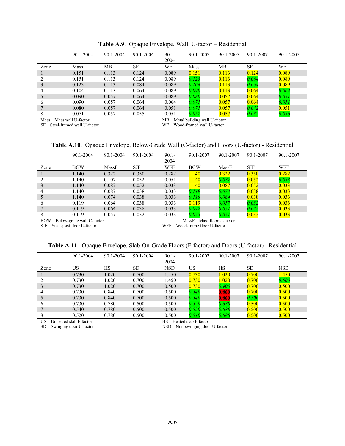|                               | 90.1-2004                                 | 90.1-2004 | 90.1-2004 | $90.1 -$<br>2004 | 90.1-2007            | 90.1-2007 | 90.1-2007 | 90.1-2007 |
|-------------------------------|-------------------------------------------|-----------|-----------|------------------|----------------------|-----------|-----------|-----------|
| Zone                          | Mass                                      | MВ        | <b>SF</b> | WF               | Mass                 | MВ        | <b>SF</b> | WF        |
|                               | 0.151                                     | 0.113     | 0.124     | 0.089            | 0.151                | 0.113     | 0.124     | 0.089     |
|                               | 0.151                                     | 0.113     | 0.124     | 0.089            | 0.123                | 0.113     | 0.064     | 0.089     |
|                               | 0.123                                     | 0.113     | 0.084     | 0.089            | 0.104                | 0.113     | 0.064     | 0.089     |
| 4                             | 0.104                                     | 0.113     | 0.064     | 0.089            | 0.090                | 0.113     | 0.064     | 0.064     |
| 5                             | 0.090                                     | 0.057     | 0.064     | 0.089            | 0.080                | 0.057     | 0.064     | 0.051     |
| 6                             | 0.090                                     | 0.057     | 0.064     | 0.064            | 0.071                | 0.057     | 0.064     | 0.051     |
|                               | 0.080                                     | 0.057     | 0.064     | 0.051            | 0.071                | 0.057     | 0.042     | 0.051     |
| 8                             | 0.071                                     | 0.057     | 0.055     | 0.051            | 0.052                | 0.057     | 0.037     | 0.036     |
| $\sim$ $\sim$<br>$\mathbf{r}$ | $\mathbf{11}$ $\mathbf{12}$ $\mathbf{13}$ |           |           | 1 m 1 m          | $\cdots$<br>$\cdots$ |           |           |           |

**Table A.9**. Opaque Envelope, Wall, U-factor – Residential

Mass – Mass wall U-factor MB – Metal building wall U-factor MB – Metal building wall U-factor SF – Steel-framed wall U-factor MF – Wood-framed wall U-factor WF – Wood-framed wall U-factor

**Table A.10**. Opaque Envelope, Below-Grade Wall (C-factor) and Floors (U-factor) - Residential

|                                 | 90.1-2004  | 90.1-2004 | 90.1-2004 | $90.1 -$   | 90.1-2007                   | 90.1-2007 | 90.1-2007 | 90.1-2007  |  |
|---------------------------------|------------|-----------|-----------|------------|-----------------------------|-----------|-----------|------------|--|
|                                 |            |           |           | 2004       |                             |           |           |            |  |
| Zone                            | <b>BGW</b> | MassF     | SJF       | <b>WFF</b> | <b>BGW</b>                  | MassF     | SJF       | <b>WFF</b> |  |
|                                 | 1.140      | 0.322     | 0.350     | 0.282      | 1.140                       | 0.322     | 0.350     | 0.282      |  |
|                                 | 1.140      | 0.107     | 0.052     | 0.051      | 1.140                       | 0.087     | 0.052     | 0.033      |  |
| 3                               | 1.140      | 0.087     | 0.052     | 0.033      | 1.140                       | 0.087     | 0.052     | 0.033      |  |
| 4                               | 1.140      | 0.087     | 0.038     | 0.033      | 0.119                       | 0.074     | 0.038     | 0.033      |  |
| 5                               | 1.140      | 0.074     | 0.038     | 0.033      | 0.119                       | 0.064     | 0.038     | 0.033      |  |
| 6                               | 0.119      | 0.064     | 0.038     | 0.033      | 0.119                       | 0.057     | 0.032     | 0.033      |  |
|                                 | 0.119      | 0.064     | 0.038     | 0.033      | 0.092                       | 0.051     | 0.032     | 0.033      |  |
|                                 | 0.119      | 0.057     | 0.032     | 0.033      | 0.075                       | 0.051     | 0.032     | 0.033      |  |
| BGW – Below-grade wall C-factor |            |           |           |            | MassF – Mass floor U-factor |           |           |            |  |

SJF – Steel-joist floor U-factor<br>SJF – Steel-joist floor U-factor WFF – Wood-frame floor U-factor

#### **Table A.11**. Opaque Envelope, Slab-On-Grade Floors (F-factor) and Doors (U-factor) - Residential

|              | 90.1-2004 | 90.1-2004 | $90.1 - 2004$ | $90.1 -$<br>2004 | 90.1-2007 | 90.1-2007 | 90.1-2007 | 90.1-2007 |
|--------------|-----------|-----------|---------------|------------------|-----------|-----------|-----------|-----------|
| Zone         | US        | HS        | <b>SD</b>     | <b>NSD</b>       | US        | HS        | <b>SD</b> | NSD       |
|              | 0.730     | 1.020     | 0.700         | 1.450            | 0.730     | 1.020     | 0.700     | 1.450     |
|              | 0.730     | 1.020     | 0.700         | 1.450            | 0.730     | .020      | 0.700     | 0.500     |
|              | 0.730     | 1.020     | 0.700         | 0.500            | 0.730     | 0.900     | 0.700     | 0.500     |
| 4            | 0.730     | 0.840     | 0.700         | 0.500            | 0.540     | 0.860     | 0.700     | 0.500     |
|              | 0.730     | 0.840     | 0.700         | 0.500            | 0.540     | 0.860     | 0.500     | 0.500     |
| <sub>b</sub> | 0.730     | 0.780     | 0.500         | 0.500            | 0.520     | 0.688     | 0.500     | 0.500     |
|              | 0.540     | 0.780     | 0.500         | 0.500            | 0.520     | 0.688     | 0.500     | 0.500     |
|              | 0.520     | 0.780     | 0.500         | 0.500            | 0.510     | 0.688     | 0.500     | 0.500     |

US – Unheated slab F-factor HS – Heated slab F-factor HS – Heated slab F-factor SD – Swinging door U-factor NSD – Non-swinging door

NSD – Non-swinging door U-factor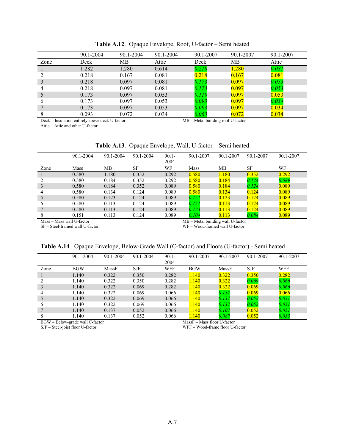|      | 90.1-2004                                      | 90.1-2004 | 90.1-2004 | 90.1-2007                           | 90.1-2007 | 90.1-2007 |
|------|------------------------------------------------|-----------|-----------|-------------------------------------|-----------|-----------|
| Zone | Deck                                           | MВ        | Attic     | Deck                                | MВ        | Attic     |
|      | 1.282                                          | 1.280     | 0.614     | 0.218                               | 1.280     | 0.081     |
|      | 0.218                                          | 0.167     | 0.081     | 0.218                               | 0.167     | 0.081     |
|      | 0.218                                          | 0.097     | 0.081     | 0.173                               | 0.097     | 0.053     |
| 4    | 0.218                                          | 0.097     | 0.081     | 0.173                               | 0.097     | 0.053     |
|      | 0.173                                          | 0.097     | 0.053     | 0.119                               | 0.097     | 0.053     |
| 6    | 0.173                                          | 0.097     | 0.053     | 0.093                               | 0.097     | 0.034     |
|      | 0.173                                          | 0.097     | 0.053     | 0.093                               | 0.097     | 0.034     |
| 8    | 0.093                                          | 0.072     | 0.034     | 0.063                               | 0.072     | 0.034     |
|      | Deck – Insulation entirely above deck U-factor |           |           | $MB$ – Metal building roof U-factor |           |           |

**Table A.12**. Opaque Envelope, Roof, U-factor – Semi heated

Attic – Attic and other U-factor

**Table A.13**. Opaque Envelope, Wall, U-factor – Semi heated

|                           | 90.1-2004 | 90.1-2004 | 90.1-2004 | $90.1 -$                          | 90.1-2007 | 90.1-2007 | 90.1-2007 | 90.1-2007 |  |
|---------------------------|-----------|-----------|-----------|-----------------------------------|-----------|-----------|-----------|-----------|--|
|                           |           |           |           | 2004                              |           |           |           |           |  |
| Zone                      | Mass      | MВ        | SF        | WF                                | Mass      | MВ        | <b>SF</b> | WF        |  |
|                           | 0.580     | 1.180     | 0.352     | 0.292                             | 0.580     | .180      | 0.352     | 0.292     |  |
|                           | 0.580     | 0.184     | 0.352     | 0.292                             | 0.580     | 0.184     | 0.124     | 0.089     |  |
| 3                         | 0.580     | 0.184     | 0.352     | 0.089                             | 0.580     | 0.184     | 0.124     | 0.089     |  |
| 4                         | 0.580     | 0.134     | 0.124     | 0.089                             | 0.580     | 0.134     | 0.124     | 0.089     |  |
| 5                         | 0.580     | 0.123     | 0.124     | 0.089                             | 0.151     | 0.123     | 0.124     | 0.089     |  |
| 6                         | 0.580     | 0.113     | 0.124     | 0.089                             | 0.151     | 0.113     | 0.124     | 0.089     |  |
|                           | 0.580     | 0.113     | 0.124     | 0.089                             | 0.123     | 0.113     | 0.124     | 0.089     |  |
|                           | 0.151     | 0.113     | 0.124     | 0.089                             | 0.104     | 0.113     | 0.084     | 0.089     |  |
| Mass - Mass wall U-factor |           |           |           | MB – Metal building wall U-factor |           |           |           |           |  |

SF – Steel-framed wall U-factor WF – Wood-framed wall U-factor

|  |  |  |  | Table A.14. Opaque Envelope, Below-Grade Wall (C-factor) and Floors (U-factor) - Semi heated |
|--|--|--|--|----------------------------------------------------------------------------------------------|
|--|--|--|--|----------------------------------------------------------------------------------------------|

|      | 90.1-2004  | 90.1-2004 | 90.1-2004 | $90.1 -$ | 90.1-2007  | 90.1-2007 | 90.1-2007 | 90.1-2007 |
|------|------------|-----------|-----------|----------|------------|-----------|-----------|-----------|
|      |            |           |           | 2004     |            |           |           |           |
| Zone | <b>BGW</b> | MassF     | SJF       | WFF      | <b>BGW</b> | MassF     | SJF       | WFF       |
|      | 1.140      | 0.322     | 0.350     | 0.282    | 1.140      | 0.322     | 0.350     | 0.282     |
|      | 1.140      | 0.322     | 0.350     | 0.282    | <b>140</b> | 0.322     | 0.069     | 0.066     |
| 3    | 1.140      | 0.322     | 0.069     | 0.282    | 1.140      | 0.322     | 0.069     | 0.066     |
|      | 1.140      | 0.322     | 0.069     | 0.066    | 1.140      | 0.137     | 0.069     | 0.066     |
| 5    | 1.140      | 0.322     | 0.069     | 0.066    | 1.140      | 0.137     | 0.052     | 0.051     |
| b    | 1.140      | 0.322     | 0.069     | 0.066    | 1.140      | 0.137     | 0.052     | 0.051     |
|      | 1.140      | 0.137     | 0.052     | 0.066    | 1.140      | 0.107     | 0.052     | 0.051     |
|      | 1.140      | 0.137     | 0.052     | 0.066    | 140        | 0.087     | 0.052     | 0.033     |

BGW – Below-grade wall C-factor and the matrix of the Mass F – Mass floor U-factor

SJF – Steel-joist floor U-factor WFF – Wood-frame floor U-factor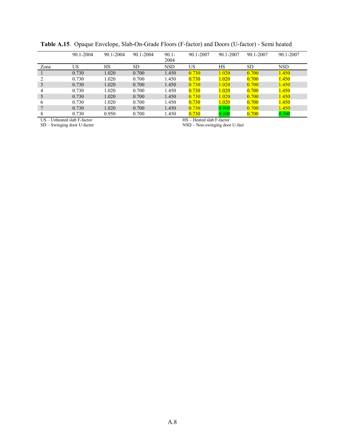|              | 90.1-2004 | 90.1-2004 | 90.1-2004 | $90.1 -$<br>2004 | 90.1-2007 | 90.1-2007 | 90.1-2007 | 90.1-2007  |
|--------------|-----------|-----------|-----------|------------------|-----------|-----------|-----------|------------|
| Zone         | US        | НS        | SD        | <b>NSD</b>       | US        | HS        | <b>SD</b> | <b>NSD</b> |
|              | 0.730     | 1.020     | 0.700     | 1.450            | 0.730     | 1.020     | 0.700     | 1.450      |
|              | 0.730     | 1.020     | 0.700     | 1.450            | 0.730     | $1.020\,$ | 0.700     | 1.450      |
|              | 0.730     | 1.020     | 0.700     | 1.450            | 0.730     | 1.020     | 0.700     | 1.450      |
| 4            | 0.730     | 1.020     | 0.700     | 1.450            | 0.730     | 1.020     | 0.700     | 1.450      |
|              | 0.730     | 1.020     | 0.700     | 1.450            | 0.730     | 1.020     | 0.700     | 1.450      |
| <sub>0</sub> | 0.730     | 1.020     | 0.700     | 1.450            | 0.730     | 1.020     | 0.700     | 1.450      |
|              | 0.730     | 1.020     | 0.700     | 1.450            | 0.730     | 0.900     | 0.700     | 1.450      |
| 8            | 0.730     | 0.950     | 0.700     | 1.450            | 0.730     | 0.900     | 0.700     | 0.500      |

**Table A.15**. Opaque Envelope, Slab-On-Grade Floors (F-factor) and Doors (U-factor) - Semi heated

US – Unheated slab F-factor<br>SD – Swinging door U-factor

HS – Heated slab F-factor<br>NSD – Non-swinging door U-fact